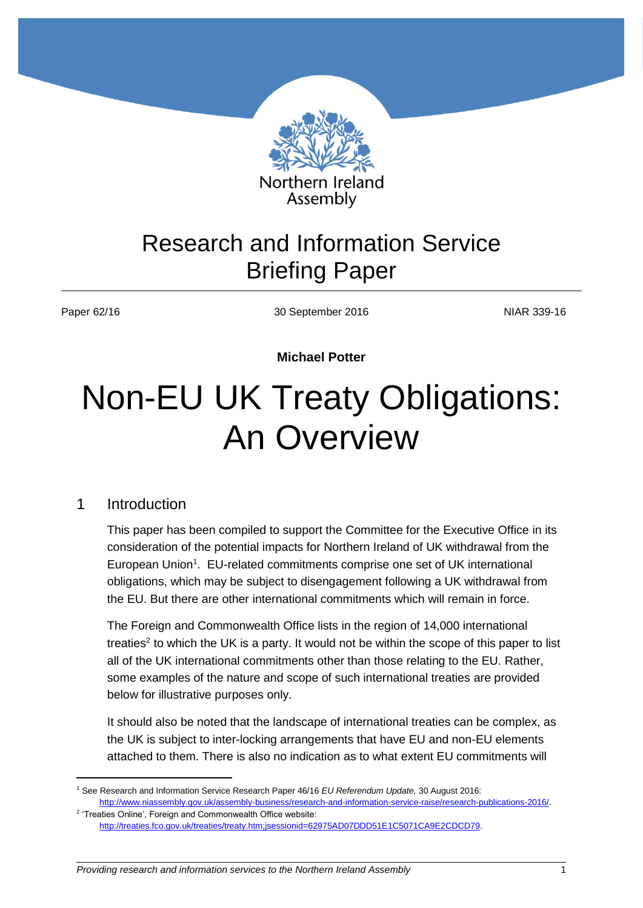

## Research and Information Service Briefing Paper

 $\overline{a}$ 

Paper 62/16 **NIAR 339-16** 30 September 2016 30 September 2016

**Michael Potter**

# Non-EU UK Treaty Obligations: An Overview

#### 1 Introduction

This paper has been compiled to support the Committee for the Executive Office in its consideration of the potential impacts for Northern Ireland of UK withdrawal from the European Union<sup>1</sup>. EU-related commitments comprise one set of UK international obligations, which may be subject to disengagement following a UK withdrawal from the EU. But there are other international commitments which will remain in force.

The Foreign and Commonwealth Office lists in the region of 14,000 international treaties<sup>2</sup> to which the UK is a party. It would not be within the scope of this paper to list all of the UK international commitments other than those relating to the EU. Rather, some examples of the nature and scope of such international treaties are provided below for illustrative purposes only.

It should also be noted that the landscape of international treaties can be complex, as the UK is subject to inter-locking arrangements that have EU and non-EU elements attached to them. There is also no indication as to what extent EU commitments will

<sup>1</sup> See Research and Information Service Research Paper 46/16 *EU Referendum Update,* 30 August 2016: [http://www.niassembly.gov.uk/assembly-business/research-and-information-service-raise/research-publications-2016/.](http://www.niassembly.gov.uk/assembly-business/research-and-information-service-raise/research-publications-2016/) 

<sup>&</sup>lt;sup>2</sup> 'Treaties Online', Foreign and Commonwealth Office website: [http://treaties.fco.gov.uk/treaties/treaty.htm;jsessionid=62975AD07DDD51E1C5071CA9E2CDCD79.](http://treaties.fco.gov.uk/treaties/treaty.htm;jsessionid=62975AD07DDD51E1C5071CA9E2CDCD79)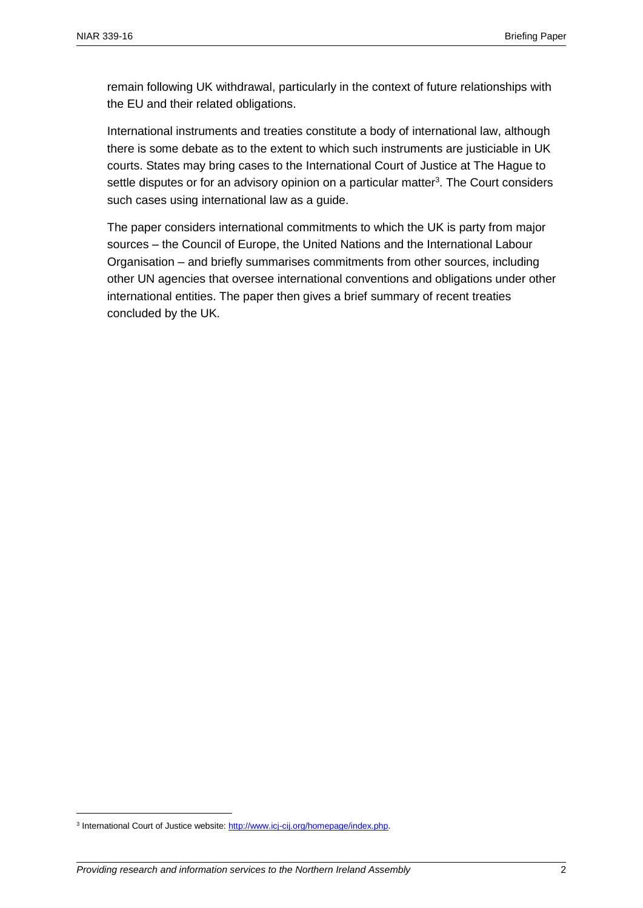remain following UK withdrawal, particularly in the context of future relationships with the EU and their related obligations.

International instruments and treaties constitute a body of international law, although there is some debate as to the extent to which such instruments are justiciable in UK courts. States may bring cases to the International Court of Justice at The Hague to settle disputes or for an advisory opinion on a particular matter<sup>3</sup>. The Court considers such cases using international law as a guide.

The paper considers international commitments to which the UK is party from major sources – the Council of Europe, the United Nations and the International Labour Organisation – and briefly summarises commitments from other sources, including other UN agencies that oversee international conventions and obligations under other international entities. The paper then gives a brief summary of recent treaties concluded by the UK.

<sup>&</sup>lt;sup>3</sup> International Court of Justice website: http://www.icj-cij.org/homepage/index.php.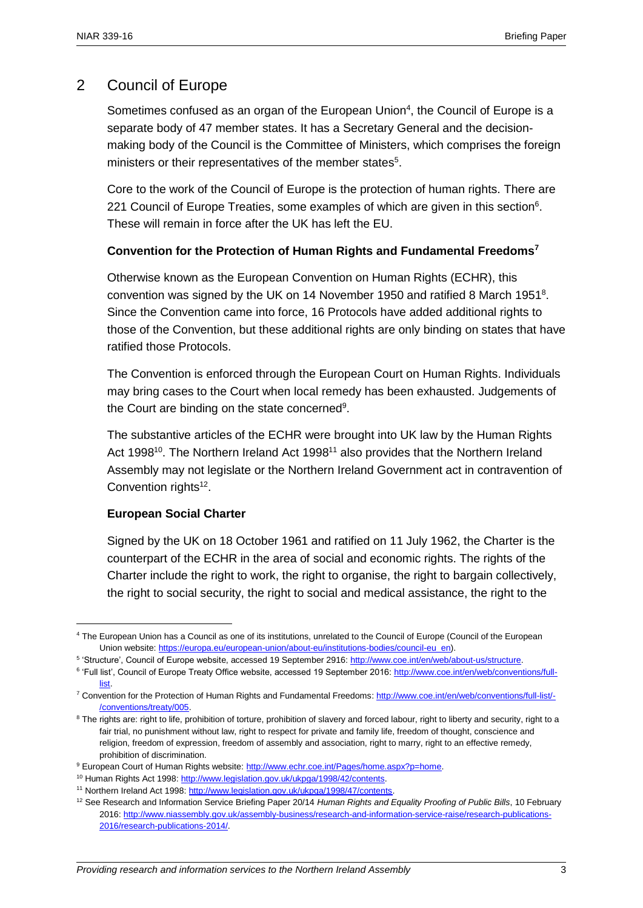#### 2 Council of Europe

Sometimes confused as an organ of the European Union<sup>4</sup>, the Council of Europe is a separate body of 47 member states. It has a Secretary General and the decisionmaking body of the Council is the Committee of Ministers, which comprises the foreign ministers or their representatives of the member states<sup>5</sup>.

Core to the work of the Council of Europe is the protection of human rights. There are 221 Council of Europe Treaties, some examples of which are given in this section $6$ . These will remain in force after the UK has left the EU.

#### **Convention for the Protection of Human Rights and Fundamental Freedoms<sup>7</sup>**

Otherwise known as the European Convention on Human Rights (ECHR), this convention was signed by the UK on 14 November 1950 and ratified 8 March 1951<sup>8</sup>. Since the Convention came into force, 16 Protocols have added additional rights to those of the Convention, but these additional rights are only binding on states that have ratified those Protocols.

The Convention is enforced through the European Court on Human Rights. Individuals may bring cases to the Court when local remedy has been exhausted. Judgements of the Court are binding on the state concerned<sup>9</sup>.

The substantive articles of the ECHR were brought into UK law by the Human Rights Act 1998<sup>10</sup>. The Northern Ireland Act 1998<sup>11</sup> also provides that the Northern Ireland Assembly may not legislate or the Northern Ireland Government act in contravention of Convention rights<sup>12</sup>.

#### **European Social Charter**

 $\overline{a}$ 

Signed by the UK on 18 October 1961 and ratified on 11 July 1962, the Charter is the counterpart of the ECHR in the area of social and economic rights. The rights of the Charter include the right to work, the right to organise, the right to bargain collectively, the right to social security, the right to social and medical assistance, the right to the

<sup>4</sup> The European Union has a Council as one of its institutions, unrelated to the Council of Europe (Council of the European Union website: [https://europa.eu/european-union/about-eu/institutions-bodies/council-eu\\_en\)](https://europa.eu/european-union/about-eu/institutions-bodies/council-eu_en).

<sup>&</sup>lt;sup>5</sup> 'Structure', Council of Europe website, accessed 19 September 2916: http://www.coe.int/en/web/about-us/structure.

<sup>&</sup>lt;sup>6</sup> 'Full list', Council of Europe Treaty Office website, accessed 19 September 2016: [http://www.coe.int/en/web/conventions/full](http://www.coe.int/en/web/conventions/full-list)[list.](http://www.coe.int/en/web/conventions/full-list)

<sup>7</sup> Convention for the Protection of Human Rights and Fundamental Freedoms[: http://www.coe.int/en/web/conventions/full-list/-](http://www.coe.int/en/web/conventions/full-list/-/conventions/treaty/005) [/conventions/treaty/005.](http://www.coe.int/en/web/conventions/full-list/-/conventions/treaty/005)

<sup>&</sup>lt;sup>8</sup> The rights are: right to life, prohibition of torture, prohibition of slavery and forced labour, right to liberty and security, right to a fair trial, no punishment without law, right to respect for private and family life, freedom of thought, conscience and religion, freedom of expression, freedom of assembly and association, right to marry, right to an effective remedy, prohibition of discrimination.

<sup>&</sup>lt;sup>9</sup> European Court of Human Rights website: [http://www.echr.coe.int/Pages/home.aspx?p=home.](http://www.echr.coe.int/Pages/home.aspx?p=home)

<sup>10</sup> Human Rights Act 1998[: http://www.legislation.gov.uk/ukpga/1998/42/contents.](http://www.legislation.gov.uk/ukpga/1998/42/contents)

<sup>&</sup>lt;sup>11</sup> Northern Ireland Act 1998: http://www.legislation.gov.uk/ukpga/1998/47/contents.

<sup>12</sup> See Research and Information Service Briefing Paper 20/14 *Human Rights and Equality Proofing of Public Bills*, 10 February 2016[: http://www.niassembly.gov.uk/assembly-business/research-and-information-service-raise/research-publications-](http://www.niassembly.gov.uk/assembly-business/research-and-information-service-raise/research-publications-2016/research-publications-2014/)[2016/research-publications-2014/.](http://www.niassembly.gov.uk/assembly-business/research-and-information-service-raise/research-publications-2016/research-publications-2014/)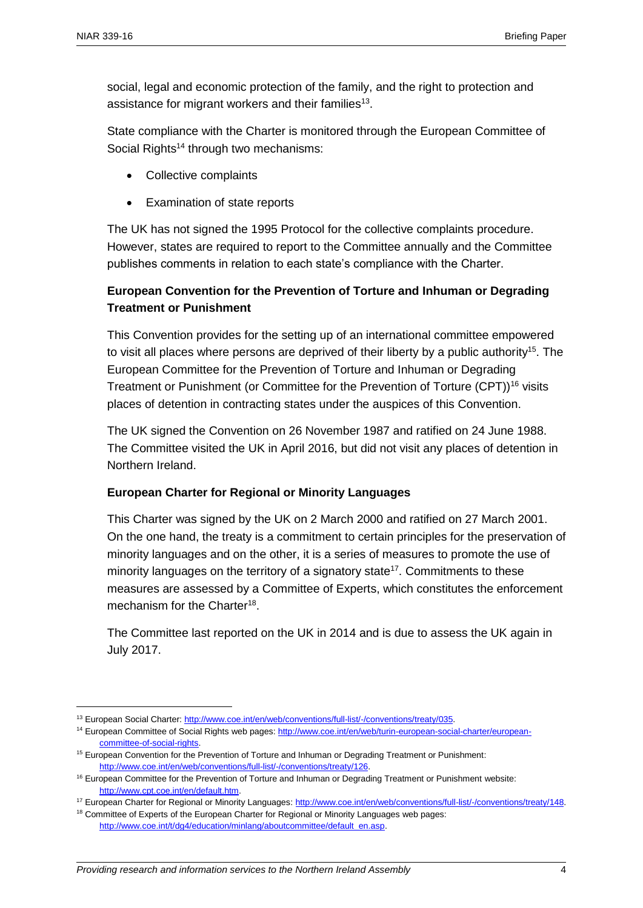social, legal and economic protection of the family, and the right to protection and assistance for migrant workers and their families<sup>13</sup>.

State compliance with the Charter is monitored through the European Committee of Social Rights<sup>14</sup> through two mechanisms:

- Collective complaints
- Examination of state reports

The UK has not signed the 1995 Protocol for the collective complaints procedure. However, states are required to report to the Committee annually and the Committee publishes comments in relation to each state's compliance with the Charter.

#### **European Convention for the Prevention of Torture and Inhuman or Degrading Treatment or Punishment**

This Convention provides for the setting up of an international committee empowered to visit all places where persons are deprived of their liberty by a public authority<sup>15</sup>. The European Committee for the Prevention of Torture and Inhuman or Degrading Treatment or Punishment (or Committee for the Prevention of Torture (CPT)<sup>16</sup> visits places of detention in contracting states under the auspices of this Convention.

The UK signed the Convention on 26 November 1987 and ratified on 24 June 1988. The Committee visited the UK in April 2016, but did not visit any places of detention in Northern Ireland.

#### **European Charter for Regional or Minority Languages**

This Charter was signed by the UK on 2 March 2000 and ratified on 27 March 2001. On the one hand, the treaty is a commitment to certain principles for the preservation of minority languages and on the other, it is a series of measures to promote the use of minority languages on the territory of a signatory state<sup>17</sup>. Commitments to these measures are assessed by a Committee of Experts, which constitutes the enforcement mechanism for the Charter<sup>18</sup>.

The Committee last reported on the UK in 2014 and is due to assess the UK again in July 2017.

<sup>13</sup> European Social Charter[: http://www.coe.int/en/web/conventions/full-list/-/conventions/treaty/035.](http://www.coe.int/en/web/conventions/full-list/-/conventions/treaty/035) 

<sup>&</sup>lt;sup>14</sup> European Committee of Social Rights web pages[: http://www.coe.int/en/web/turin-european-social-charter/european](http://www.coe.int/en/web/turin-european-social-charter/european-committee-of-social-rights)[committee-of-social-rights.](http://www.coe.int/en/web/turin-european-social-charter/european-committee-of-social-rights)

<sup>&</sup>lt;sup>15</sup> European Convention for the Prevention of Torture and Inhuman or Degrading Treatment or Punishment: [http://www.coe.int/en/web/conventions/full-list/-/conventions/treaty/126.](http://www.coe.int/en/web/conventions/full-list/-/conventions/treaty/126)

<sup>&</sup>lt;sup>16</sup> European Committee for the Prevention of Torture and Inhuman or Degrading Treatment or Punishment website: [http://www.cpt.coe.int/en/default.htm.](http://www.cpt.coe.int/en/default.htm)

<sup>17</sup> European Charter for Regional or Minority Languages[: http://www.coe.int/en/web/conventions/full-list/-/conventions/treaty/148.](http://www.coe.int/en/web/conventions/full-list/-/conventions/treaty/148)

<sup>&</sup>lt;sup>18</sup> Committee of Experts of the European Charter for Regional or Minority Languages web pages: http://www.coe.int/t/dg4/education/minlang/aboutcommittee/default\_en.asp.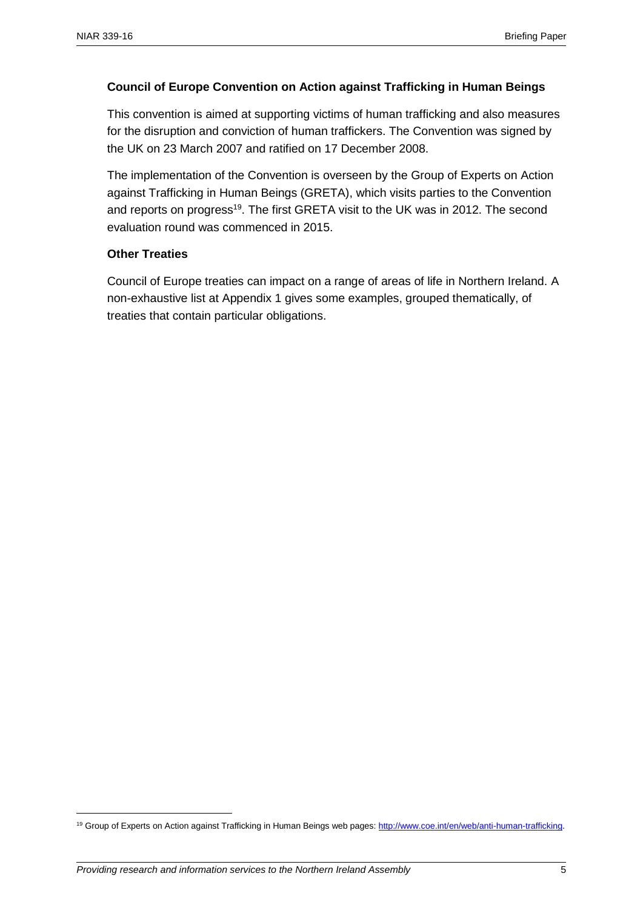#### **Council of Europe Convention on Action against Trafficking in Human Beings**

This convention is aimed at supporting victims of human trafficking and also measures for the disruption and conviction of human traffickers. The Convention was signed by the UK on 23 March 2007 and ratified on 17 December 2008.

The implementation of the Convention is overseen by the Group of Experts on Action against Trafficking in Human Beings (GRETA), which visits parties to the Convention and reports on progress<sup>19</sup>. The first GRETA visit to the UK was in 2012. The second evaluation round was commenced in 2015.

#### **Other Treaties**

Council of Europe treaties can impact on a range of areas of life in Northern Ireland. A non-exhaustive list at Appendix 1 gives some examples, grouped thematically, of treaties that contain particular obligations.

<sup>&</sup>lt;sup>19</sup> Group of Experts on Action against Trafficking in Human Beings web pages[: http://www.coe.int/en/web/anti-human-trafficking.](http://www.coe.int/en/web/anti-human-trafficking)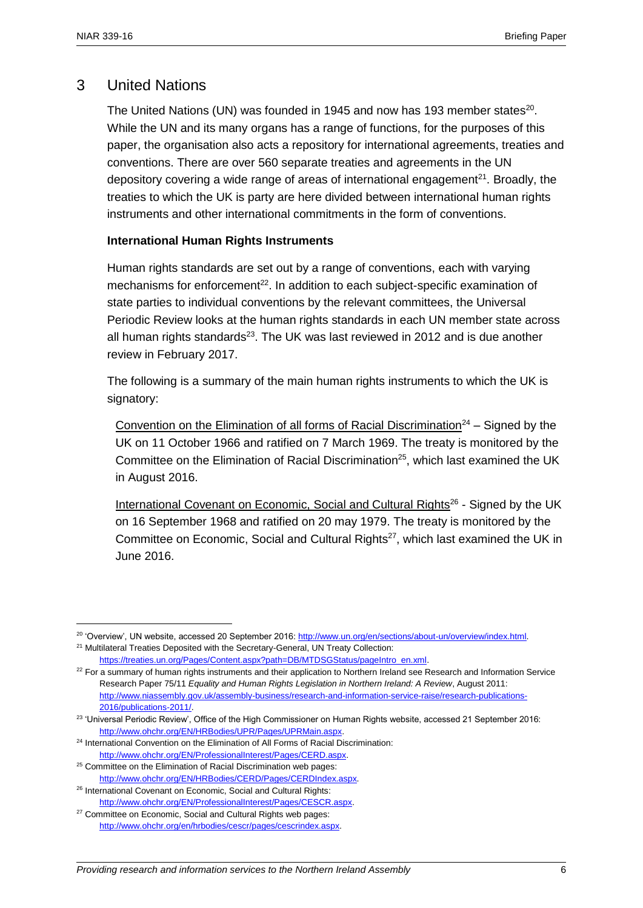#### 3 United Nations

The United Nations (UN) was founded in 1945 and now has 193 member states $^{20}$ . While the UN and its many organs has a range of functions, for the purposes of this paper, the organisation also acts a repository for international agreements, treaties and conventions. There are over 560 separate treaties and agreements in the UN depository covering a wide range of areas of international engagement $^{21}$ . Broadly, the treaties to which the UK is party are here divided between international human rights instruments and other international commitments in the form of conventions.

#### **International Human Rights Instruments**

Human rights standards are set out by a range of conventions, each with varying mechanisms for enforcement<sup>22</sup>. In addition to each subject-specific examination of state parties to individual conventions by the relevant committees, the Universal Periodic Review looks at the human rights standards in each UN member state across all human rights standards $^{23}$ . The UK was last reviewed in 2012 and is due another review in February 2017.

The following is a summary of the main human rights instruments to which the UK is signatory:

Convention on the Elimination of all forms of Racial Discrimination<sup>24</sup> – Signed by the UK on 11 October 1966 and ratified on 7 March 1969. The treaty is monitored by the Committee on the Elimination of Racial Discrimination<sup>25</sup>, which last examined the UK in August 2016.

International Covenant on Economic, Social and Cultural Rights<sup>26</sup> - Signed by the UK on 16 September 1968 and ratified on 20 may 1979. The treaty is monitored by the Committee on Economic, Social and Cultural Rights<sup>27</sup>, which last examined the UK in June 2016.

<sup>&</sup>lt;sup>20</sup> 'Overview', UN website, accessed 20 September 2016: http://www.un.org/en/sections/about-un/overview/index.html. <sup>21</sup> Multilateral Treaties Deposited with the Secretary-General, UN Treaty Collection:

[https://treaties.un.org/Pages/Content.aspx?path=DB/MTDSGStatus/pageIntro\\_en.xml.](https://treaties.un.org/Pages/Content.aspx?path=DB/MTDSGStatus/pageIntro_en.xml)

<sup>&</sup>lt;sup>22</sup> For a summary of human rights instruments and their application to Northern Ireland see Research and Information Service Research Paper 75/11 *Equality and Human Rights Legislation in Northern Ireland: A Review*, August 2011: [http://www.niassembly.gov.uk/assembly-business/research-and-information-service-raise/research-publications-](http://www.niassembly.gov.uk/assembly-business/research-and-information-service-raise/research-publications-2016/publications-2011/)[2016/publications-2011/.](http://www.niassembly.gov.uk/assembly-business/research-and-information-service-raise/research-publications-2016/publications-2011/)

<sup>&</sup>lt;sup>23</sup> 'Universal Periodic Review', Office of the High Commissioner on Human Rights website, accessed 21 September 2016: [http://www.ohchr.org/EN/HRBodies/UPR/Pages/UPRMain.aspx.](http://www.ohchr.org/EN/HRBodies/UPR/Pages/UPRMain.aspx)

<sup>&</sup>lt;sup>24</sup> International Convention on the Elimination of All Forms of Racial Discrimination: [http://www.ohchr.org/EN/ProfessionalInterest/Pages/CERD.aspx.](http://www.ohchr.org/EN/ProfessionalInterest/Pages/CERD.aspx) 

<sup>&</sup>lt;sup>25</sup> Committee on the Elimination of Racial Discrimination web pages: [http://www.ohchr.org/EN/HRBodies/CERD/Pages/CERDIndex.aspx.](http://www.ohchr.org/EN/HRBodies/CERD/Pages/CERDIndex.aspx) 

<sup>26</sup> International Covenant on Economic, Social and Cultural Rights: [http://www.ohchr.org/EN/ProfessionalInterest/Pages/CESCR.aspx.](http://www.ohchr.org/EN/ProfessionalInterest/Pages/CESCR.aspx)

<sup>&</sup>lt;sup>27</sup> Committee on Economic, Social and Cultural Rights web pages: [http://www.ohchr.org/en/hrbodies/cescr/pages/cescrindex.aspx.](http://www.ohchr.org/en/hrbodies/cescr/pages/cescrindex.aspx)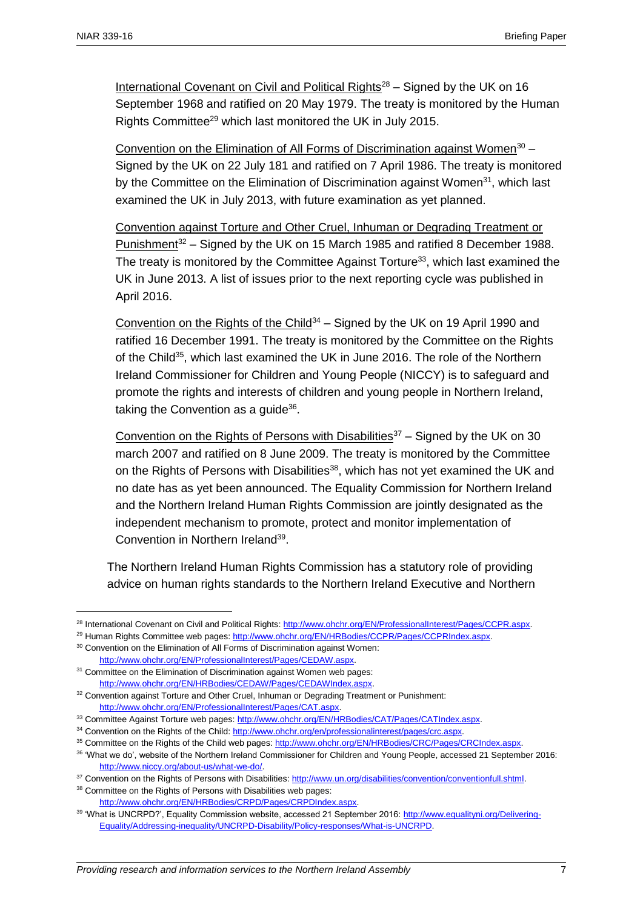International Covenant on Civil and Political Rights $28 -$  Signed by the UK on 16 September 1968 and ratified on 20 May 1979. The treaty is monitored by the Human Rights Committee<sup>29</sup> which last monitored the UK in July 2015.

Convention on the Elimination of All Forms of Discrimination against Women<sup>30</sup> -Signed by the UK on 22 July 181 and ratified on 7 April 1986. The treaty is monitored by the Committee on the Elimination of Discrimination against Women<sup>31</sup>, which last examined the UK in July 2013, with future examination as yet planned.

Convention against Torture and Other Cruel, Inhuman or Degrading Treatment or Punishment<sup>32</sup> – Signed by the UK on 15 March 1985 and ratified 8 December 1988. The treaty is monitored by the Committee Against Torture<sup>33</sup>, which last examined the UK in June 2013. A list of issues prior to the next reporting cycle was published in April 2016.

Convention on the Rights of the Child<sup>34</sup> – Signed by the UK on 19 April 1990 and ratified 16 December 1991. The treaty is monitored by the Committee on the Rights of the Child<sup>35</sup>, which last examined the UK in June 2016. The role of the Northern Ireland Commissioner for Children and Young People (NICCY) is to safeguard and promote the rights and interests of children and young people in Northern Ireland, taking the Convention as a guide<sup>36</sup>.

Convention on the Rights of Persons with Disabilities $37 -$  Signed by the UK on 30 march 2007 and ratified on 8 June 2009. The treaty is monitored by the Committee on the Rights of Persons with Disabilities<sup>38</sup>, which has not yet examined the UK and no date has as yet been announced. The Equality Commission for Northern Ireland and the Northern Ireland Human Rights Commission are jointly designated as the independent mechanism to promote, protect and monitor implementation of Convention in Northern Ireland<sup>39</sup>.

The Northern Ireland Human Rights Commission has a statutory role of providing advice on human rights standards to the Northern Ireland Executive and Northern

<sup>&</sup>lt;sup>28</sup> International Covenant on Civil and Political Rights[: http://www.ohchr.org/EN/ProfessionalInterest/Pages/CCPR.aspx.](http://www.ohchr.org/EN/ProfessionalInterest/Pages/CCPR.aspx)

<sup>&</sup>lt;sup>29</sup> Human Rights Committee web pages[: http://www.ohchr.org/EN/HRBodies/CCPR/Pages/CCPRIndex.aspx.](http://www.ohchr.org/EN/HRBodies/CCPR/Pages/CCPRIndex.aspx) <sup>30</sup> Convention on the Elimination of All Forms of Discrimination against Women:

[http://www.ohchr.org/EN/ProfessionalInterest/Pages/CEDAW.aspx.](http://www.ohchr.org/EN/ProfessionalInterest/Pages/CEDAW.aspx)  $31$  Committee on the Elimination of Discrimination against Women web pages:

[http://www.ohchr.org/EN/HRBodies/CEDAW/Pages/CEDAWIndex.aspx.](http://www.ohchr.org/EN/HRBodies/CEDAW/Pages/CEDAWIndex.aspx) 

<sup>32</sup> Convention against Torture and Other Cruel, Inhuman or Degrading Treatment or Punishment: [http://www.ohchr.org/EN/ProfessionalInterest/Pages/CAT.aspx.](http://www.ohchr.org/EN/ProfessionalInterest/Pages/CAT.aspx)

<sup>33</sup> Committee Against Torture web pages[: http://www.ohchr.org/EN/HRBodies/CAT/Pages/CATIndex.aspx.](http://www.ohchr.org/EN/HRBodies/CAT/Pages/CATIndex.aspx) 

<sup>&</sup>lt;sup>34</sup> Convention on the Rights of the Child[: http://www.ohchr.org/en/professionalinterest/pages/crc.aspx.](http://www.ohchr.org/en/professionalinterest/pages/crc.aspx)

<sup>&</sup>lt;sup>35</sup> Committee on the Rights of the Child web pages: http://www.ohchr.org/EN/HRBodies/CRC/Pages/CRCIndex.aspx.

<sup>36</sup> 'What we do', website of the Northern Ireland Commissioner for Children and Young People, accessed 21 September 2016: [http://www.niccy.org/about-us/what-we-do/.](http://www.niccy.org/about-us/what-we-do/)

<sup>37</sup> Convention on the Rights of Persons with Disabilities[: http://www.un.org/disabilities/convention/conventionfull.shtml.](http://www.un.org/disabilities/convention/conventionfull.shtml)

<sup>38</sup> Committee on the Rights of Persons with Disabilities web pages: [http://www.ohchr.org/EN/HRBodies/CRPD/Pages/CRPDIndex.aspx.](http://www.ohchr.org/EN/HRBodies/CRPD/Pages/CRPDIndex.aspx) 

<sup>39</sup> 'What is UNCRPD?', Equality Commission website, accessed 21 September 2016[: http://www.equalityni.org/Delivering-](http://www.equalityni.org/Delivering-Equality/Addressing-inequality/UNCRPD-Disability/Policy-responses/What-is-UNCRPD)[Equality/Addressing-inequality/UNCRPD-Disability/Policy-responses/What-is-UNCRPD.](http://www.equalityni.org/Delivering-Equality/Addressing-inequality/UNCRPD-Disability/Policy-responses/What-is-UNCRPD)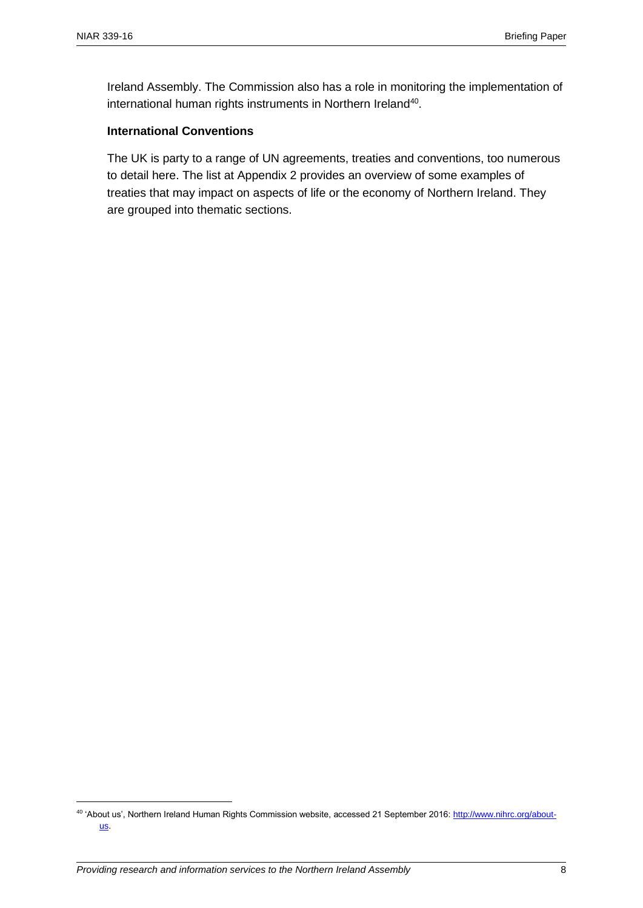Ireland Assembly. The Commission also has a role in monitoring the implementation of international human rights instruments in Northern Ireland<sup>40</sup>.

#### **International Conventions**

The UK is party to a range of UN agreements, treaties and conventions, too numerous to detail here. The list at Appendix 2 provides an overview of some examples of treaties that may impact on aspects of life or the economy of Northern Ireland. They are grouped into thematic sections.

<sup>&</sup>lt;sup>40</sup> 'About us', Northern Ireland Human Rights Commission website, accessed 21 September 2016[: http://www.nihrc.org/about](http://www.nihrc.org/about-us)[us.](http://www.nihrc.org/about-us)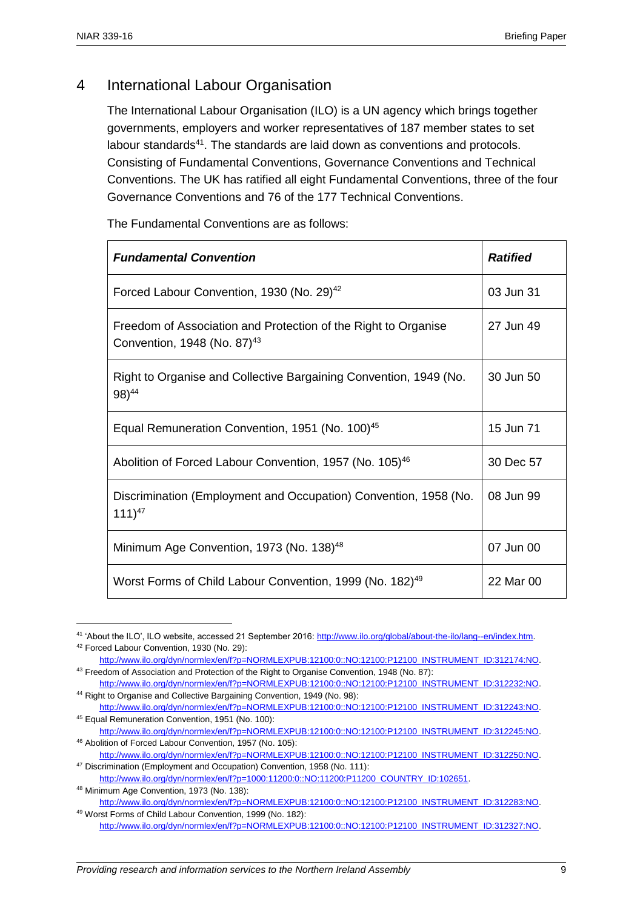### 4 International Labour Organisation

The International Labour Organisation (ILO) is a UN agency which brings together governments, employers and worker representatives of 187 member states to set labour standards<sup>41</sup>. The standards are laid down as conventions and protocols. Consisting of Fundamental Conventions, Governance Conventions and Technical Conventions. The UK has ratified all eight Fundamental Conventions, three of the four Governance Conventions and 76 of the 177 Technical Conventions.

The Fundamental Conventions are as follows:

| <b>Fundamental Convention</b>                                                                             | <b>Ratified</b> |
|-----------------------------------------------------------------------------------------------------------|-----------------|
| Forced Labour Convention, 1930 (No. 29) <sup>42</sup>                                                     | 03 Jun 31       |
| Freedom of Association and Protection of the Right to Organise<br>Convention, 1948 (No. 87) <sup>43</sup> | 27 Jun 49       |
| Right to Organise and Collective Bargaining Convention, 1949 (No.<br>$98)^{44}$                           | 30 Jun 50       |
| Equal Remuneration Convention, 1951 (No. 100) <sup>45</sup>                                               | 15 Jun 71       |
| Abolition of Forced Labour Convention, 1957 (No. 105) <sup>46</sup>                                       | 30 Dec 57       |
| Discrimination (Employment and Occupation) Convention, 1958 (No.<br>$111)^{47}$                           | 08 Jun 99       |
| Minimum Age Convention, 1973 (No. 138) <sup>48</sup>                                                      | 07 Jun 00       |
| Worst Forms of Child Labour Convention, 1999 (No. 182) <sup>49</sup>                                      | 22 Mar 00       |

<sup>41</sup> 'About the ILO', ILO website, accessed 21 September 2016[: http://www.ilo.org/global/about-the-ilo/lang--en/index.htm.](http://www.ilo.org/global/about-the-ilo/lang--en/index.htm)  <sup>42</sup> Forced Labour Convention, 1930 (No. 29):

[http://www.ilo.org/dyn/normlex/en/f?p=NORMLEXPUB:12100:0::NO:12100:P12100\\_INSTRUMENT\\_ID:312174:NO.](http://www.ilo.org/dyn/normlex/en/f?p=NORMLEXPUB:12100:0::NO:12100:P12100_INSTRUMENT_ID:312174:NO) 43 Freedom of Association and Protection of the Right to Organise Convention, 1948 (No. 87):

[http://www.ilo.org/dyn/normlex/en/f?p=NORMLEXPUB:12100:0::NO:12100:P12100\\_INSTRUMENT\\_ID:312232:NO.](http://www.ilo.org/dyn/normlex/en/f?p=NORMLEXPUB:12100:0::NO:12100:P12100_INSTRUMENT_ID:312232:NO) <sup>44</sup> Right to Organise and Collective Bargaining Convention, 1949 (No. 98):

[http://www.ilo.org/dyn/normlex/en/f?p=NORMLEXPUB:12100:0::NO:12100:P12100\\_INSTRUMENT\\_ID:312243:NO.](http://www.ilo.org/dyn/normlex/en/f?p=NORMLEXPUB:12100:0::NO:12100:P12100_INSTRUMENT_ID:312243:NO) <sup>45</sup> Equal Remuneration Convention, 1951 (No. 100):

[http://www.ilo.org/dyn/normlex/en/f?p=NORMLEXPUB:12100:0::NO:12100:P12100\\_INSTRUMENT\\_ID:312245:NO.](http://www.ilo.org/dyn/normlex/en/f?p=NORMLEXPUB:12100:0::NO:12100:P12100_INSTRUMENT_ID:312245:NO) <sup>46</sup> Abolition of Forced Labour Convention, 1957 (No. 105):

[http://www.ilo.org/dyn/normlex/en/f?p=NORMLEXPUB:12100:0::NO:12100:P12100\\_INSTRUMENT\\_ID:312250:NO.](http://www.ilo.org/dyn/normlex/en/f?p=NORMLEXPUB:12100:0::NO:12100:P12100_INSTRUMENT_ID:312250:NO) <sup>47</sup> Discrimination (Employment and Occupation) Convention, 1958 (No. 111):

[http://www.ilo.org/dyn/normlex/en/f?p=1000:11200:0::NO:11200:P11200\\_COUNTRY\\_ID:102651.](http://www.ilo.org/dyn/normlex/en/f?p=1000:11200:0::NO:11200:P11200_COUNTRY_ID:102651) 

<sup>48</sup> Minimum Age Convention, 1973 (No. 138):

[http://www.ilo.org/dyn/normlex/en/f?p=NORMLEXPUB:12100:0::NO:12100:P12100\\_INSTRUMENT\\_ID:312283:NO.](http://www.ilo.org/dyn/normlex/en/f?p=NORMLEXPUB:12100:0::NO:12100:P12100_INSTRUMENT_ID:312283:NO) <sup>49</sup> Worst Forms of Child Labour Convention, 1999 (No. 182):

[http://www.ilo.org/dyn/normlex/en/f?p=NORMLEXPUB:12100:0::NO:12100:P12100\\_INSTRUMENT\\_ID:312327:NO.](http://www.ilo.org/dyn/normlex/en/f?p=NORMLEXPUB:12100:0::NO:12100:P12100_INSTRUMENT_ID:312327:NO)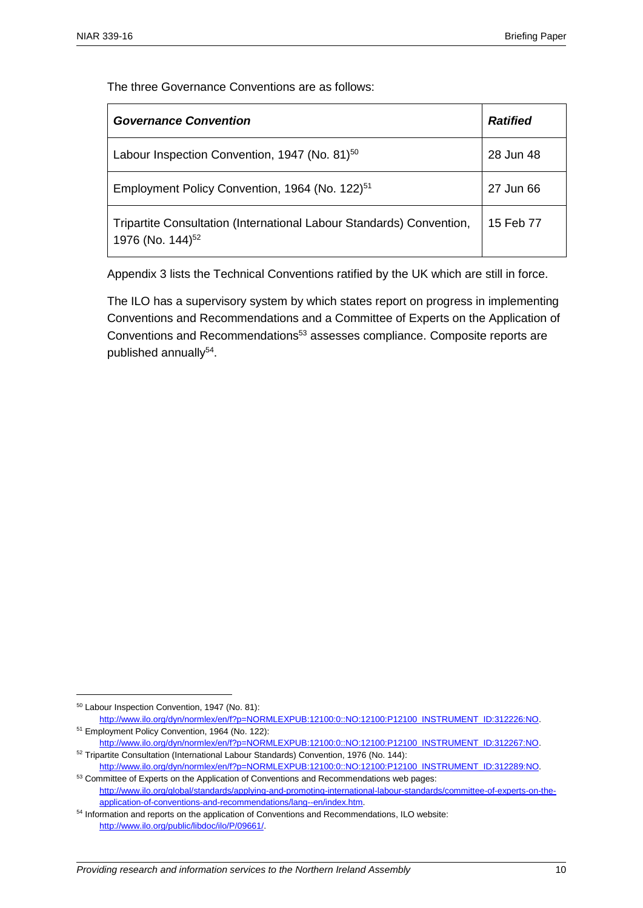The three Governance Conventions are as follows:

| <b>Governance Convention</b>                                                                         | <b>Ratified</b> |
|------------------------------------------------------------------------------------------------------|-----------------|
| Labour Inspection Convention, 1947 (No. 81) <sup>50</sup>                                            | 28 Jun 48       |
| Employment Policy Convention, 1964 (No. 122) <sup>51</sup>                                           | 27 Jun 66       |
| Tripartite Consultation (International Labour Standards) Convention,<br>1976 (No. 144) <sup>52</sup> | 15 Feb 77       |

Appendix 3 lists the Technical Conventions ratified by the UK which are still in force.

The ILO has a supervisory system by which states report on progress in implementing Conventions and Recommendations and a Committee of Experts on the Application of Conventions and Recommendations<sup>53</sup> assesses compliance. Composite reports are published annually<sup>54</sup>.

<sup>50</sup> Labour Inspection Convention, 1947 (No. 81):

[http://www.ilo.org/dyn/normlex/en/f?p=NORMLEXPUB:12100:0::NO:12100:P12100\\_INSTRUMENT\\_ID:312226:NO.](http://www.ilo.org/dyn/normlex/en/f?p=NORMLEXPUB:12100:0::NO:12100:P12100_INSTRUMENT_ID:312226:NO) <sup>51</sup> Employment Policy Convention, 1964 (No. 122):

[http://www.ilo.org/dyn/normlex/en/f?p=NORMLEXPUB:12100:0::NO:12100:P12100\\_INSTRUMENT\\_ID:312267:NO.](http://www.ilo.org/dyn/normlex/en/f?p=NORMLEXPUB:12100:0::NO:12100:P12100_INSTRUMENT_ID:312267:NO) <sup>52</sup> Tripartite Consultation (International Labour Standards) Convention, 1976 (No. 144):

[http://www.ilo.org/dyn/normlex/en/f?p=NORMLEXPUB:12100:0::NO:12100:P12100\\_INSTRUMENT\\_ID:312289:NO.](http://www.ilo.org/dyn/normlex/en/f?p=NORMLEXPUB:12100:0::NO:12100:P12100_INSTRUMENT_ID:312289:NO) 53 Committee of Experts on the Application of Conventions and Recommendations web pages:

[http://www.ilo.org/global/standards/applying-and-promoting-international-labour-standards/committee-of-experts-on-the](http://www.ilo.org/global/standards/applying-and-promoting-international-labour-standards/committee-of-experts-on-the-application-of-conventions-and-recommendations/lang--en/index.htm)[application-of-conventions-and-recommendations/lang--en/index.htm.](http://www.ilo.org/global/standards/applying-and-promoting-international-labour-standards/committee-of-experts-on-the-application-of-conventions-and-recommendations/lang--en/index.htm)

<sup>54</sup> Information and reports on the application of Conventions and Recommendations, ILO website: [http://www.ilo.org/public/libdoc/ilo/P/09661/.](http://www.ilo.org/public/libdoc/ilo/P/09661/)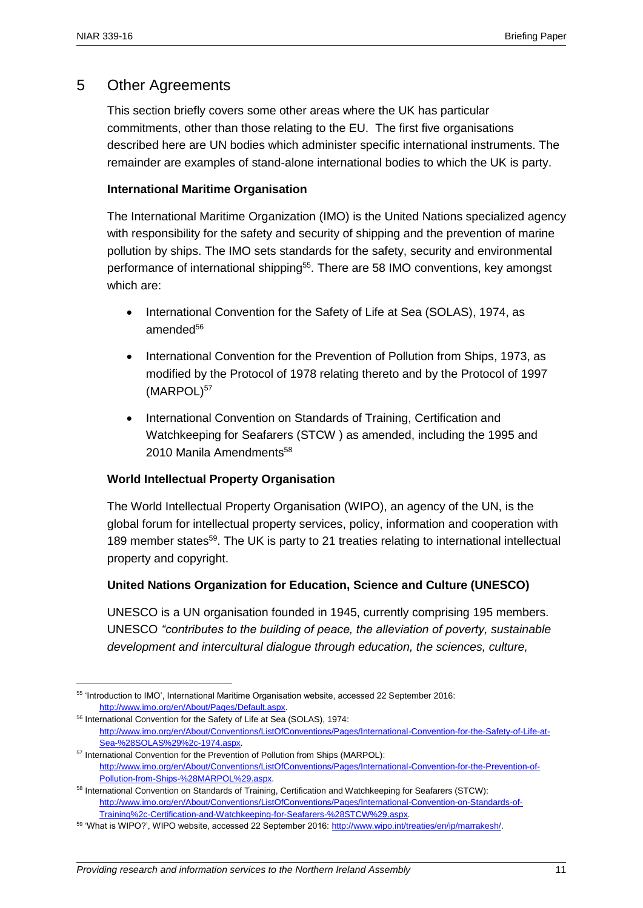#### 5 Other Agreements

This section briefly covers some other areas where the UK has particular commitments, other than those relating to the EU. The first five organisations described here are UN bodies which administer specific international instruments. The remainder are examples of stand-alone international bodies to which the UK is party.

#### **International Maritime Organisation**

The International Maritime Organization (IMO) is the United Nations specialized agency with responsibility for the safety and security of shipping and the prevention of marine pollution by ships. The IMO sets standards for the safety, security and environmental performance of international shipping<sup>55</sup>. There are 58 IMO conventions, key amongst which are:

- International Convention for the Safety of Life at Sea (SOLAS), 1974, as amended<sup>56</sup>
- International Convention for the Prevention of Pollution from Ships, 1973, as modified by the Protocol of 1978 relating thereto and by the Protocol of 1997 (MARPOL)<sup>57</sup>
- International Convention on Standards of Training, Certification and Watchkeeping for Seafarers (STCW ) as amended, including the 1995 and 2010 Manila Amendments<sup>58</sup>

#### **World Intellectual Property Organisation**

The World Intellectual Property Organisation (WIPO), an agency of the UN, is the global forum for intellectual property services, policy, information and cooperation with 189 member states<sup>59</sup>. The UK is party to 21 treaties relating to international intellectual property and copyright.

#### **United Nations Organization for Education, Science and Culture (UNESCO)**

UNESCO is a UN organisation founded in 1945, currently comprising 195 members. UNESCO *"contributes to the building of peace, the alleviation of poverty, sustainable development and intercultural dialogue through education, the sciences, culture,* 

<sup>55</sup> 'Introduction to IMO', International Maritime Organisation website, accessed 22 September 2016: [http://www.imo.org/en/About/Pages/Default.aspx.](http://www.imo.org/en/About/Pages/Default.aspx)

<sup>56</sup> International Convention for the Safety of Life at Sea (SOLAS), 1974:

[http://www.imo.org/en/About/Conventions/ListOfConventions/Pages/International-Convention-for-the-Safety-of-Life-at-](http://www.imo.org/en/About/Conventions/ListOfConventions/Pages/International-Convention-for-the-Safety-of-Life-at-Sea-%28SOLAS%29%2c-1974.aspx)[Sea-%28SOLAS%29%2c-1974.aspx.](http://www.imo.org/en/About/Conventions/ListOfConventions/Pages/International-Convention-for-the-Safety-of-Life-at-Sea-%28SOLAS%29%2c-1974.aspx)

<sup>&</sup>lt;sup>57</sup> International Convention for the Prevention of Pollution from Ships (MARPOL): [http://www.imo.org/en/About/Conventions/ListOfConventions/Pages/International-Convention-for-the-Prevention-of-](http://www.imo.org/en/About/Conventions/ListOfConventions/Pages/International-Convention-for-the-Prevention-of-Pollution-from-Ships-%28MARPOL%29.aspx)[Pollution-from-Ships-%28MARPOL%29.aspx.](http://www.imo.org/en/About/Conventions/ListOfConventions/Pages/International-Convention-for-the-Prevention-of-Pollution-from-Ships-%28MARPOL%29.aspx) 

<sup>58</sup> International Convention on Standards of Training, Certification and Watchkeeping for Seafarers (STCW): [http://www.imo.org/en/About/Conventions/ListOfConventions/Pages/International-Convention-on-Standards-of-](http://www.imo.org/en/About/Conventions/ListOfConventions/Pages/International-Convention-on-Standards-of-Training%2c-Certification-and-Watchkeeping-for-Seafarers-%28STCW%29.aspx)[Training%2c-Certification-and-Watchkeeping-for-Seafarers-%28STCW%29.aspx.](http://www.imo.org/en/About/Conventions/ListOfConventions/Pages/International-Convention-on-Standards-of-Training%2c-Certification-and-Watchkeeping-for-Seafarers-%28STCW%29.aspx) 

<sup>59</sup> 'What is WIPO?', WIPO website, accessed 22 September 2016: [http://www.wipo.int/treaties/en/ip/marrakesh/.](http://www.wipo.int/treaties/en/ip/marrakesh/)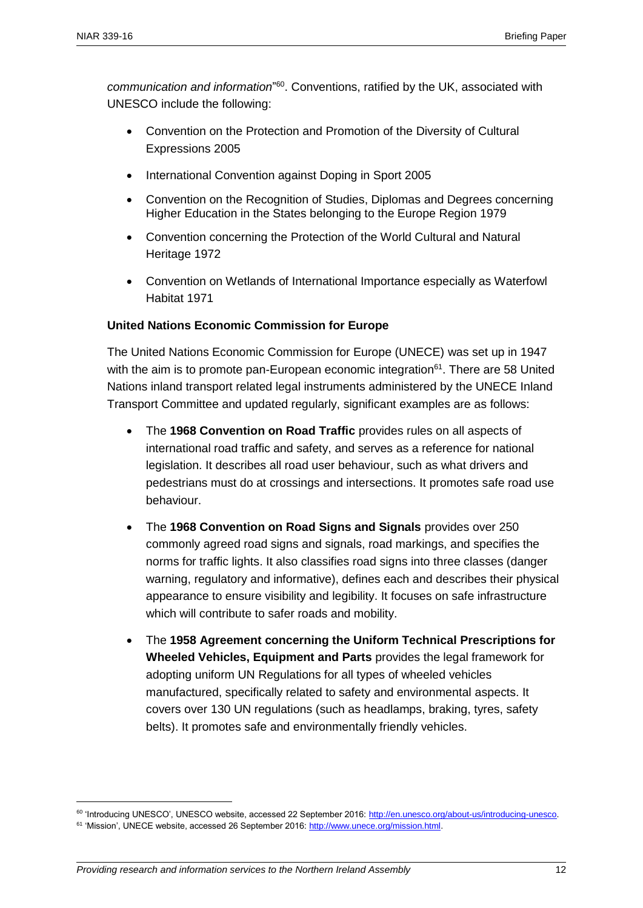communication and information<sup>"60</sup>. Conventions, ratified by the UK, associated with UNESCO include the following:

- Convention on the Protection and Promotion of the Diversity of Cultural Expressions 2005
- International Convention against Doping in Sport 2005
- Convention on the Recognition of Studies, Diplomas and Degrees concerning Higher Education in the States belonging to the Europe Region 1979
- Convention concerning the Protection of the World Cultural and Natural Heritage 1972
- Convention on Wetlands of International Importance especially as Waterfowl Habitat 1971

#### **United Nations Economic Commission for Europe**

The United Nations Economic Commission for Europe (UNECE) was set up in 1947 with the aim is to promote pan-European economic integration<sup> $61$ </sup>. There are 58 United Nations inland transport related legal instruments administered by the UNECE Inland Transport Committee and updated regularly, significant examples are as follows:

- The **1968 Convention on Road Traffic** provides rules on all aspects of international road traffic and safety, and serves as a reference for national legislation. It describes all road user behaviour, such as what drivers and pedestrians must do at crossings and intersections. It promotes safe road use behaviour.
- The **1968 Convention on Road Signs and Signals** provides over 250 commonly agreed road signs and signals, road markings, and specifies the norms for traffic lights. It also classifies road signs into three classes (danger warning, regulatory and informative), defines each and describes their physical appearance to ensure visibility and legibility. It focuses on safe infrastructure which will contribute to safer roads and mobility.
- The **1958 Agreement concerning the Uniform Technical Prescriptions for Wheeled Vehicles, Equipment and Parts** provides the legal framework for adopting uniform UN Regulations for all types of wheeled vehicles manufactured, specifically related to safety and environmental aspects. It covers over 130 UN regulations (such as headlamps, braking, tyres, safety belts). It promotes safe and environmentally friendly vehicles.

<sup>60</sup> 'Introducing UNESCO', UNESCO website, accessed 22 September 2016[: http://en.unesco.org/about-us/introducing-unesco.](http://en.unesco.org/about-us/introducing-unesco) 

<sup>61 &#</sup>x27;Mission', UNECE website, accessed 26 September 2016: [http://www.unece.org/mission.html.](http://www.unece.org/mission.html)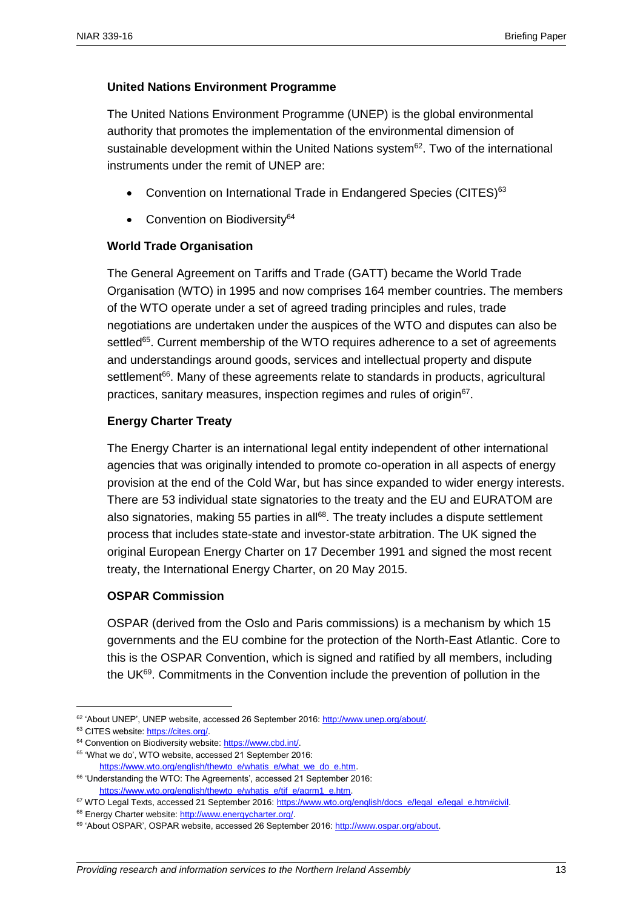#### **United Nations Environment Programme**

The United Nations Environment Programme (UNEP) is the global environmental authority that promotes the implementation of the environmental dimension of sustainable development within the United Nations system<sup>62</sup>. Two of the international instruments under the remit of UNEP are:

- Convention on International Trade in Endangered Species (CITES)<sup>63</sup>
- Convention on Biodiversity<sup>64</sup>

#### **World Trade Organisation**

The General Agreement on Tariffs and Trade (GATT) became the World Trade Organisation (WTO) in 1995 and now comprises 164 member countries. The members of the WTO operate under a set of agreed trading principles and rules, trade negotiations are undertaken under the auspices of the WTO and disputes can also be settled<sup>65</sup>. Current membership of the WTO requires adherence to a set of agreements and understandings around goods, services and intellectual property and dispute settlement<sup>66</sup>. Many of these agreements relate to standards in products, agricultural practices, sanitary measures, inspection regimes and rules of origin<sup>67</sup>.

#### **Energy Charter Treaty**

The Energy Charter is an international legal entity independent of other international agencies that was originally intended to promote co-operation in all aspects of energy provision at the end of the Cold War, but has since expanded to wider energy interests. There are 53 individual state signatories to the treaty and the EU and EURATOM are also signatories, making 55 parties in all<sup>68</sup>. The treaty includes a dispute settlement process that includes state-state and investor-state arbitration. The UK signed the original European Energy Charter on 17 December 1991 and signed the most recent treaty, the International Energy Charter, on 20 May 2015.

#### **OSPAR Commission**

OSPAR (derived from the Oslo and Paris commissions) is a mechanism by which 15 governments and the EU combine for the protection of the North-East Atlantic. Core to this is the OSPAR Convention, which is signed and ratified by all members, including the UK<sup>69</sup>. Commitments in the Convention include the prevention of pollution in the

 $\overline{a}$ <sup>62</sup> 'About UNEP', UNEP website, accessed 26 September 2016: [http://www.unep.org/about/.](http://www.unep.org/about/) 

<sup>63</sup> CITES website: [https://cites.org/.](https://cites.org/) 

<sup>&</sup>lt;sup>64</sup> Convention on Biodiversity website: https://www.cbd.int/.

<sup>65</sup> 'What we do', WTO website, accessed 21 September 2016:

https://www.wto.org/english/thewto\_e/whatis\_e/what\_we\_do\_e.htm. <sup>66</sup> 'Understanding the WTO: The Agreements', accessed 21 September 2016:

[https://www.wto.org/english/thewto\\_e/whatis\\_e/tif\\_e/agrm1\\_e.htm.](https://www.wto.org/english/thewto_e/whatis_e/tif_e/agrm1_e.htm) <sup>67</sup> WTO Legal Texts, accessed 21 September 2016: [https://www.wto.org/english/docs\\_e/legal\\_e/legal\\_e.htm#civil.](https://www.wto.org/english/docs_e/legal_e/legal_e.htm#civil)

<sup>68</sup> Energy Charter website[: http://www.energycharter.org/.](http://www.energycharter.org/) 

<sup>&</sup>lt;sup>69</sup> 'About OSPAR', OSPAR website, accessed 26 September 2016[: http://www.ospar.org/about.](http://www.ospar.org/about)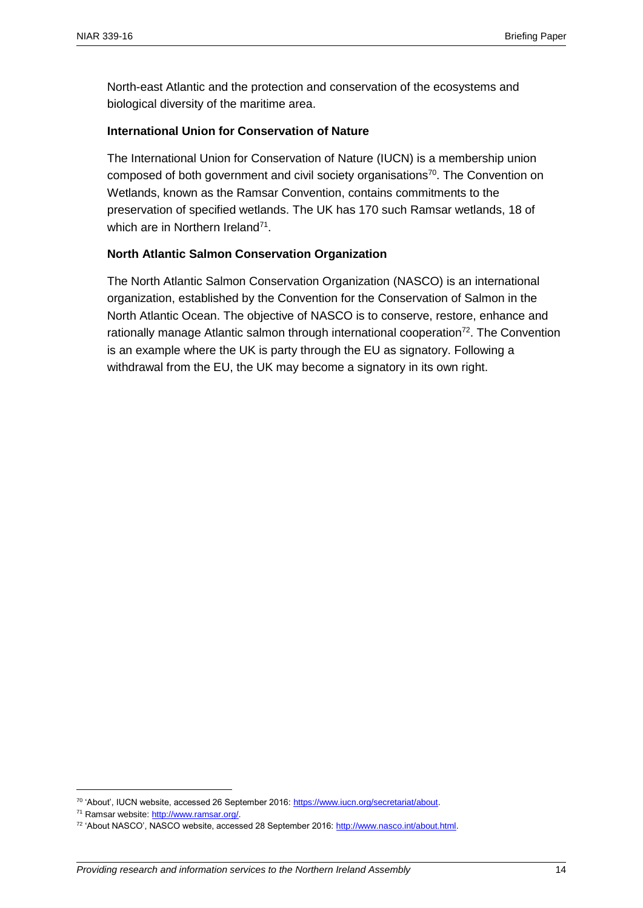North-east Atlantic and the protection and conservation of the ecosystems and biological diversity of the maritime area.

#### **International Union for Conservation of Nature**

The International Union for Conservation of Nature (IUCN) is a membership union composed of both government and civil society organisations<sup>70</sup>. The Convention on Wetlands, known as the Ramsar Convention, contains commitments to the preservation of specified wetlands. The UK has 170 such Ramsar wetlands, 18 of which are in Northern Ireland<sup>71</sup>.

#### **North Atlantic Salmon Conservation Organization**

The North Atlantic Salmon Conservation Organization (NASCO) is an international organization, established by the Convention for the Conservation of Salmon in the North Atlantic Ocean. The objective of NASCO is to conserve, restore, enhance and rationally manage Atlantic salmon through international cooperation $72$ . The Convention is an example where the UK is party through the EU as signatory. Following a withdrawal from the EU, the UK may become a signatory in its own right.

<sup>70</sup> 'About', IUCN website, accessed 26 September 2016[: https://www.iucn.org/secretariat/about.](https://www.iucn.org/secretariat/about) 

<sup>71</sup> Ramsar website[: http://www.ramsar.org/.](http://www.ramsar.org/)

<sup>72</sup> 'About NASCO', NASCO website, accessed 28 September 2016: [http://www.nasco.int/about.html.](http://www.nasco.int/about.html)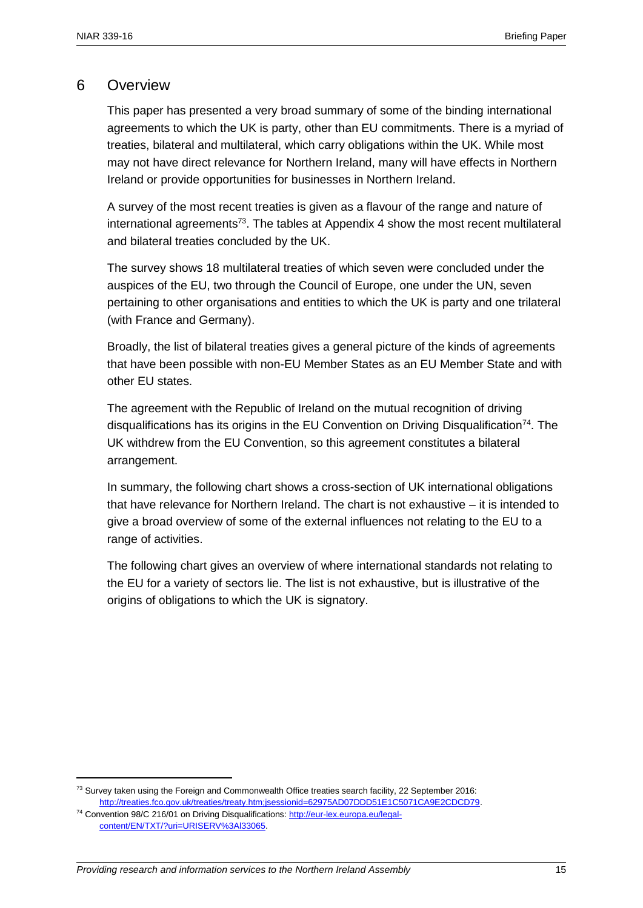#### 6 Overview

This paper has presented a very broad summary of some of the binding international agreements to which the UK is party, other than EU commitments. There is a myriad of treaties, bilateral and multilateral, which carry obligations within the UK. While most may not have direct relevance for Northern Ireland, many will have effects in Northern Ireland or provide opportunities for businesses in Northern Ireland.

A survey of the most recent treaties is given as a flavour of the range and nature of international agreements<sup>73</sup>. The tables at Appendix 4 show the most recent multilateral and bilateral treaties concluded by the UK.

The survey shows 18 multilateral treaties of which seven were concluded under the auspices of the EU, two through the Council of Europe, one under the UN, seven pertaining to other organisations and entities to which the UK is party and one trilateral (with France and Germany).

Broadly, the list of bilateral treaties gives a general picture of the kinds of agreements that have been possible with non-EU Member States as an EU Member State and with other EU states.

The agreement with the Republic of Ireland on the mutual recognition of driving disqualifications has its origins in the EU Convention on Driving Disqualification<sup>74</sup>. The UK withdrew from the EU Convention, so this agreement constitutes a bilateral arrangement.

In summary, the following chart shows a cross-section of UK international obligations that have relevance for Northern Ireland. The chart is not exhaustive – it is intended to give a broad overview of some of the external influences not relating to the EU to a range of activities.

The following chart gives an overview of where international standards not relating to the EU for a variety of sectors lie. The list is not exhaustive, but is illustrative of the origins of obligations to which the UK is signatory.

 $73$  Survey taken using the Foreign and Commonwealth Office treaties search facility, 22 September 2016: [http://treaties.fco.gov.uk/treaties/treaty.htm;jsessionid=62975AD07DDD51E1C5071CA9E2CDCD79.](http://treaties.fco.gov.uk/treaties/treaty.htm;jsessionid=62975AD07DDD51E1C5071CA9E2CDCD79) 

<sup>74</sup> Convention 98/C 216/01 on Driving Disqualifications[: http://eur-lex.europa.eu/legal](http://eur-lex.europa.eu/legal-content/EN/TXT/?uri=URISERV%3Al33065)[content/EN/TXT/?uri=URISERV%3Al33065.](http://eur-lex.europa.eu/legal-content/EN/TXT/?uri=URISERV%3Al33065)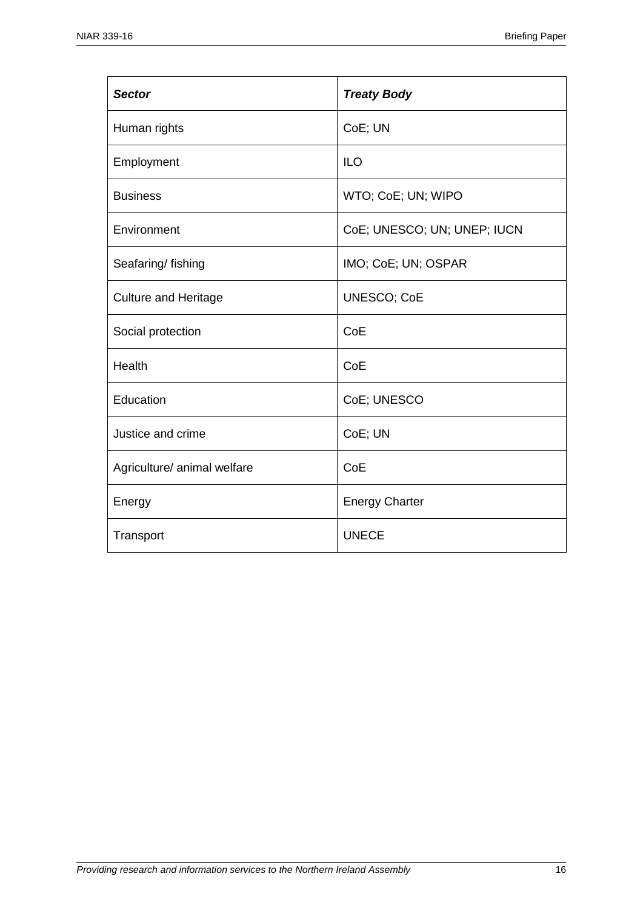| <b>Sector</b>               | <b>Treaty Body</b>          |
|-----------------------------|-----------------------------|
| Human rights                | CoE; UN                     |
| Employment                  | <b>ILO</b>                  |
| <b>Business</b>             | WTO; CoE; UN; WIPO          |
| Environment                 | CoE; UNESCO; UN; UNEP; IUCN |
| Seafaring/fishing           | IMO; CoE; UN; OSPAR         |
| <b>Culture and Heritage</b> | <b>UNESCO; CoE</b>          |
| Social protection           | CoE                         |
| Health                      | CoE                         |
| Education                   | CoE; UNESCO                 |
| Justice and crime           | CoE; UN                     |
| Agriculture/ animal welfare | CoE                         |
| Energy                      | <b>Energy Charter</b>       |
| Transport                   | <b>UNECE</b>                |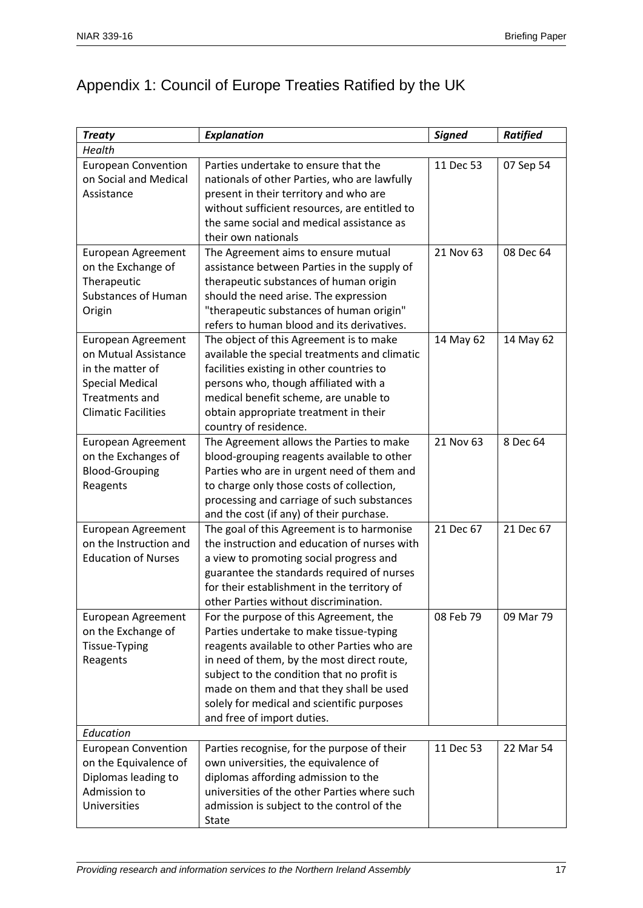## Appendix 1: Council of Europe Treaties Ratified by the UK

| <b>Treaty</b>              | <b>Explanation</b>                            | <b>Signed</b> | <b>Ratified</b> |
|----------------------------|-----------------------------------------------|---------------|-----------------|
| Health                     |                                               |               |                 |
| <b>European Convention</b> | Parties undertake to ensure that the          | 11 Dec 53     | 07 Sep 54       |
| on Social and Medical      | nationals of other Parties, who are lawfully  |               |                 |
| Assistance                 | present in their territory and who are        |               |                 |
|                            | without sufficient resources, are entitled to |               |                 |
|                            | the same social and medical assistance as     |               |                 |
|                            | their own nationals                           |               |                 |
| European Agreement         | The Agreement aims to ensure mutual           | 21 Nov 63     | 08 Dec 64       |
| on the Exchange of         | assistance between Parties in the supply of   |               |                 |
| Therapeutic                | therapeutic substances of human origin        |               |                 |
| <b>Substances of Human</b> | should the need arise. The expression         |               |                 |
| Origin                     | "therapeutic substances of human origin"      |               |                 |
|                            | refers to human blood and its derivatives.    |               |                 |
| European Agreement         | The object of this Agreement is to make       | 14 May 62     | 14 May 62       |
| on Mutual Assistance       | available the special treatments and climatic |               |                 |
| in the matter of           | facilities existing in other countries to     |               |                 |
| <b>Special Medical</b>     | persons who, though affiliated with a         |               |                 |
| Treatments and             | medical benefit scheme, are unable to         |               |                 |
| <b>Climatic Facilities</b> | obtain appropriate treatment in their         |               |                 |
|                            | country of residence.                         |               |                 |
| European Agreement         | The Agreement allows the Parties to make      | 21 Nov 63     | 8 Dec 64        |
| on the Exchanges of        | blood-grouping reagents available to other    |               |                 |
| <b>Blood-Grouping</b>      | Parties who are in urgent need of them and    |               |                 |
| Reagents                   | to charge only those costs of collection,     |               |                 |
|                            | processing and carriage of such substances    |               |                 |
|                            | and the cost (if any) of their purchase.      |               |                 |
| European Agreement         | The goal of this Agreement is to harmonise    | 21 Dec 67     | 21 Dec 67       |
| on the Instruction and     | the instruction and education of nurses with  |               |                 |
| <b>Education of Nurses</b> | a view to promoting social progress and       |               |                 |
|                            | guarantee the standards required of nurses    |               |                 |
|                            | for their establishment in the territory of   |               |                 |
|                            | other Parties without discrimination.         |               |                 |
| European Agreement         | For the purpose of this Agreement, the        | 08 Feb 79     | 09 Mar 79       |
| on the Exchange of         | Parties undertake to make tissue-typing       |               |                 |
| Tissue-Typing              | reagents available to other Parties who are   |               |                 |
| Reagents                   | in need of them, by the most direct route,    |               |                 |
|                            | subject to the condition that no profit is    |               |                 |
|                            | made on them and that they shall be used      |               |                 |
|                            | solely for medical and scientific purposes    |               |                 |
|                            | and free of import duties.                    |               |                 |
| Education                  |                                               |               |                 |
| <b>European Convention</b> | Parties recognise, for the purpose of their   | 11 Dec 53     | 22 Mar 54       |
| on the Equivalence of      | own universities, the equivalence of          |               |                 |
| Diplomas leading to        | diplomas affording admission to the           |               |                 |
| Admission to               | universities of the other Parties where such  |               |                 |
| Universities               | admission is subject to the control of the    |               |                 |
|                            | State                                         |               |                 |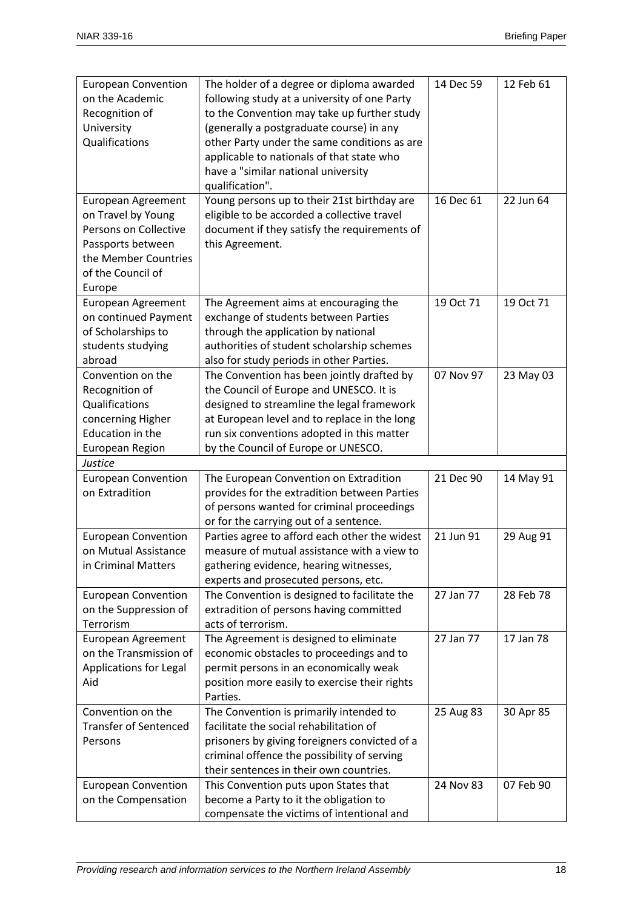| <b>European Convention</b>   | The holder of a degree or diploma awarded     | 14 Dec 59 | 12 Feb 61 |
|------------------------------|-----------------------------------------------|-----------|-----------|
| on the Academic              | following study at a university of one Party  |           |           |
| Recognition of               | to the Convention may take up further study   |           |           |
|                              |                                               |           |           |
| University                   | (generally a postgraduate course) in any      |           |           |
| Qualifications               | other Party under the same conditions as are  |           |           |
|                              | applicable to nationals of that state who     |           |           |
|                              | have a "similar national university           |           |           |
|                              | qualification".                               |           |           |
| European Agreement           | Young persons up to their 21st birthday are   | 16 Dec 61 | 22 Jun 64 |
| on Travel by Young           | eligible to be accorded a collective travel   |           |           |
| Persons on Collective        | document if they satisfy the requirements of  |           |           |
| Passports between            | this Agreement.                               |           |           |
| the Member Countries         |                                               |           |           |
| of the Council of            |                                               |           |           |
| Europe                       |                                               |           |           |
| European Agreement           | The Agreement aims at encouraging the         | 19 Oct 71 | 19 Oct 71 |
| on continued Payment         | exchange of students between Parties          |           |           |
| of Scholarships to           | through the application by national           |           |           |
| students studying            | authorities of student scholarship schemes    |           |           |
| abroad                       | also for study periods in other Parties.      |           |           |
| Convention on the            | The Convention has been jointly drafted by    | 07 Nov 97 | 23 May 03 |
| Recognition of               | the Council of Europe and UNESCO. It is       |           |           |
| Qualifications               | designed to streamline the legal framework    |           |           |
| concerning Higher            | at European level and to replace in the long  |           |           |
| Education in the             | run six conventions adopted in this matter    |           |           |
| European Region              | by the Council of Europe or UNESCO.           |           |           |
| Justice                      |                                               |           |           |
| <b>European Convention</b>   | The European Convention on Extradition        | 21 Dec 90 | 14 May 91 |
| on Extradition               | provides for the extradition between Parties  |           |           |
|                              | of persons wanted for criminal proceedings    |           |           |
|                              | or for the carrying out of a sentence.        |           |           |
| <b>European Convention</b>   | Parties agree to afford each other the widest | 21 Jun 91 | 29 Aug 91 |
| on Mutual Assistance         | measure of mutual assistance with a view to   |           |           |
| in Criminal Matters          | gathering evidence, hearing witnesses,        |           |           |
|                              | experts and prosecuted persons, etc.          |           |           |
| <b>European Convention</b>   | The Convention is designed to facilitate the  | 27 Jan 77 | 28 Feb 78 |
| on the Suppression of        | extradition of persons having committed       |           |           |
| Terrorism                    | acts of terrorism.                            |           |           |
| <b>European Agreement</b>    | The Agreement is designed to eliminate        | 27 Jan 77 | 17 Jan 78 |
| on the Transmission of       |                                               |           |           |
|                              | economic obstacles to proceedings and to      |           |           |
| Applications for Legal       | permit persons in an economically weak        |           |           |
| Aid                          | position more easily to exercise their rights |           |           |
|                              | Parties.                                      |           |           |
| Convention on the            | The Convention is primarily intended to       | 25 Aug 83 | 30 Apr 85 |
| <b>Transfer of Sentenced</b> | facilitate the social rehabilitation of       |           |           |
| Persons                      | prisoners by giving foreigners convicted of a |           |           |
|                              | criminal offence the possibility of serving   |           |           |
|                              | their sentences in their own countries.       |           |           |
| <b>European Convention</b>   | This Convention puts upon States that         | 24 Nov 83 | 07 Feb 90 |
| on the Compensation          | become a Party to it the obligation to        |           |           |
|                              | compensate the victims of intentional and     |           |           |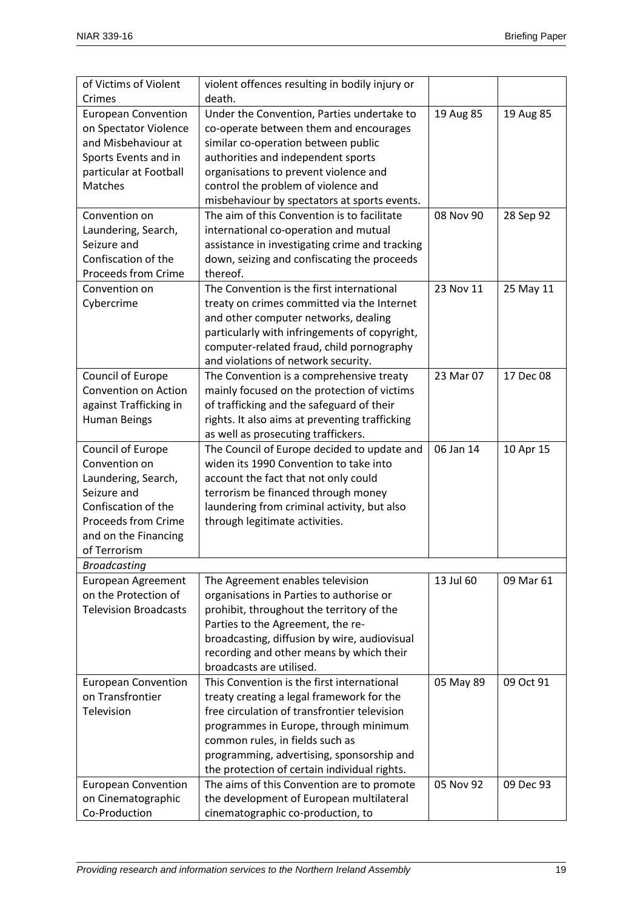| of Victims of Violent        | violent offences resulting in bodily injury or |           |           |
|------------------------------|------------------------------------------------|-----------|-----------|
| Crimes                       | death.                                         |           |           |
| <b>European Convention</b>   | Under the Convention, Parties undertake to     | 19 Aug 85 | 19 Aug 85 |
| on Spectator Violence        | co-operate between them and encourages         |           |           |
| and Misbehaviour at          | similar co-operation between public            |           |           |
| Sports Events and in         | authorities and independent sports             |           |           |
| particular at Football       | organisations to prevent violence and          |           |           |
| Matches                      | control the problem of violence and            |           |           |
|                              | misbehaviour by spectators at sports events.   |           |           |
| Convention on                | The aim of this Convention is to facilitate    | 08 Nov 90 | 28 Sep 92 |
| Laundering, Search,          | international co-operation and mutual          |           |           |
| Seizure and                  | assistance in investigating crime and tracking |           |           |
| Confiscation of the          | down, seizing and confiscating the proceeds    |           |           |
| <b>Proceeds from Crime</b>   | thereof.                                       |           |           |
| Convention on                | The Convention is the first international      | 23 Nov 11 | 25 May 11 |
| Cybercrime                   | treaty on crimes committed via the Internet    |           |           |
|                              | and other computer networks, dealing           |           |           |
|                              | particularly with infringements of copyright,  |           |           |
|                              | computer-related fraud, child pornography      |           |           |
|                              | and violations of network security.            |           |           |
| Council of Europe            | The Convention is a comprehensive treaty       | 23 Mar 07 | 17 Dec 08 |
| Convention on Action         | mainly focused on the protection of victims    |           |           |
| against Trafficking in       | of trafficking and the safeguard of their      |           |           |
| <b>Human Beings</b>          | rights. It also aims at preventing trafficking |           |           |
|                              | as well as prosecuting traffickers.            |           |           |
| Council of Europe            | The Council of Europe decided to update and    | 06 Jan 14 | 10 Apr 15 |
| Convention on                | widen its 1990 Convention to take into         |           |           |
| Laundering, Search,          | account the fact that not only could           |           |           |
| Seizure and                  | terrorism be financed through money            |           |           |
| Confiscation of the          | laundering from criminal activity, but also    |           |           |
| <b>Proceeds from Crime</b>   | through legitimate activities.                 |           |           |
| and on the Financing         |                                                |           |           |
| of Terrorism                 |                                                |           |           |
| <b>Broadcasting</b>          |                                                |           |           |
| European Agreement           | The Agreement enables television               | 13 Jul 60 | 09 Mar 61 |
| on the Protection of         | organisations in Parties to authorise or       |           |           |
| <b>Television Broadcasts</b> | prohibit, throughout the territory of the      |           |           |
|                              | Parties to the Agreement, the re-              |           |           |
|                              | broadcasting, diffusion by wire, audiovisual   |           |           |
|                              | recording and other means by which their       |           |           |
|                              | broadcasts are utilised.                       |           |           |
| <b>European Convention</b>   | This Convention is the first international     | 05 May 89 | 09 Oct 91 |
| on Transfrontier             | treaty creating a legal framework for the      |           |           |
| Television                   | free circulation of transfrontier television   |           |           |
|                              | programmes in Europe, through minimum          |           |           |
|                              | common rules, in fields such as                |           |           |
|                              | programming, advertising, sponsorship and      |           |           |
|                              | the protection of certain individual rights.   |           |           |
| <b>European Convention</b>   | The aims of this Convention are to promote     | 05 Nov 92 | 09 Dec 93 |
| on Cinematographic           | the development of European multilateral       |           |           |
| Co-Production                | cinematographic co-production, to              |           |           |
|                              |                                                |           |           |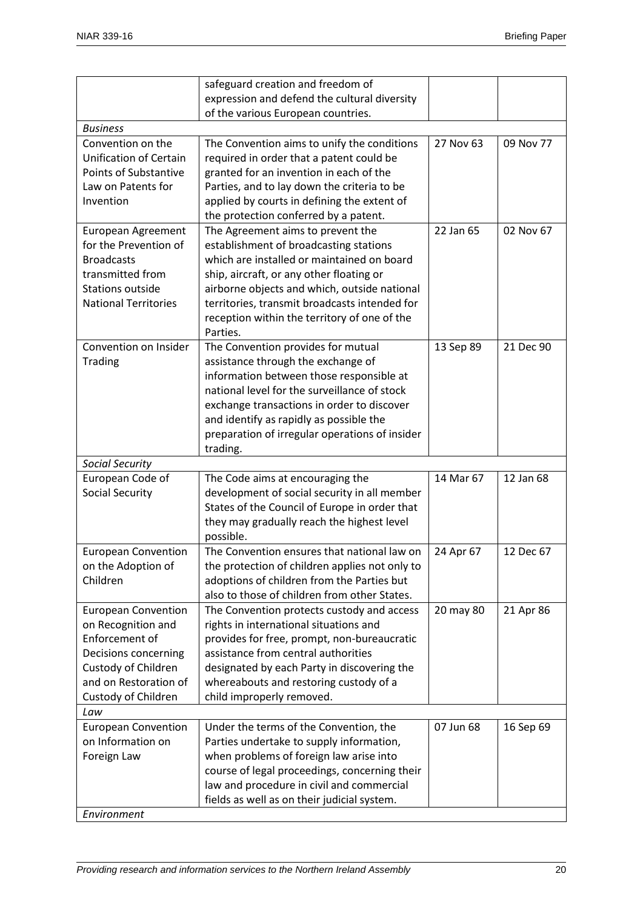|                                                 | safeguard creation and freedom of                                                        |           |           |
|-------------------------------------------------|------------------------------------------------------------------------------------------|-----------|-----------|
|                                                 | expression and defend the cultural diversity                                             |           |           |
|                                                 | of the various European countries.                                                       |           |           |
| <b>Business</b>                                 |                                                                                          |           |           |
| Convention on the                               | The Convention aims to unify the conditions                                              | 27 Nov 63 | 09 Nov 77 |
| Unification of Certain                          | required in order that a patent could be                                                 |           |           |
| <b>Points of Substantive</b>                    | granted for an invention in each of the                                                  |           |           |
| Law on Patents for                              | Parties, and to lay down the criteria to be                                              |           |           |
| Invention                                       | applied by courts in defining the extent of                                              |           |           |
|                                                 | the protection conferred by a patent.                                                    |           |           |
| European Agreement                              | The Agreement aims to prevent the                                                        | 22 Jan 65 | 02 Nov 67 |
| for the Prevention of                           | establishment of broadcasting stations                                                   |           |           |
| <b>Broadcasts</b>                               | which are installed or maintained on board                                               |           |           |
| transmitted from<br><b>Stations outside</b>     | ship, aircraft, or any other floating or<br>airborne objects and which, outside national |           |           |
| <b>National Territories</b>                     | territories, transmit broadcasts intended for                                            |           |           |
|                                                 | reception within the territory of one of the                                             |           |           |
|                                                 | Parties.                                                                                 |           |           |
| Convention on Insider                           | The Convention provides for mutual                                                       | 13 Sep 89 | 21 Dec 90 |
| Trading                                         | assistance through the exchange of                                                       |           |           |
|                                                 | information between those responsible at                                                 |           |           |
|                                                 | national level for the surveillance of stock                                             |           |           |
|                                                 | exchange transactions in order to discover                                               |           |           |
|                                                 | and identify as rapidly as possible the                                                  |           |           |
|                                                 | preparation of irregular operations of insider                                           |           |           |
|                                                 | trading.                                                                                 |           |           |
| <b>Social Security</b>                          |                                                                                          |           |           |
| European Code of                                | The Code aims at encouraging the                                                         | 14 Mar 67 | 12 Jan 68 |
| <b>Social Security</b>                          | development of social security in all member                                             |           |           |
|                                                 | States of the Council of Europe in order that                                            |           |           |
|                                                 | they may gradually reach the highest level                                               |           |           |
|                                                 | possible.                                                                                |           |           |
| <b>European Convention</b>                      | The Convention ensures that national law on                                              | 24 Apr 67 | 12 Dec 67 |
| on the Adoption of                              | the protection of children applies not only to                                           |           |           |
| Children                                        | adoptions of children from the Parties but                                               |           |           |
|                                                 | also to those of children from other States.                                             |           |           |
| <b>European Convention</b>                      | The Convention protects custody and access                                               | 20 may 80 | 21 Apr 86 |
| on Recognition and                              | rights in international situations and                                                   |           |           |
| Enforcement of                                  | provides for free, prompt, non-bureaucratic                                              |           |           |
| Decisions concerning                            | assistance from central authorities                                                      |           |           |
| Custody of Children                             | designated by each Party in discovering the                                              |           |           |
| and on Restoration of                           | whereabouts and restoring custody of a                                                   |           |           |
| Custody of Children                             | child improperly removed.                                                                |           |           |
| Law                                             |                                                                                          | 07 Jun 68 |           |
| <b>European Convention</b><br>on Information on | Under the terms of the Convention, the<br>Parties undertake to supply information,       |           | 16 Sep 69 |
| Foreign Law                                     | when problems of foreign law arise into                                                  |           |           |
|                                                 | course of legal proceedings, concerning their                                            |           |           |
|                                                 | law and procedure in civil and commercial                                                |           |           |
|                                                 | fields as well as on their judicial system.                                              |           |           |
| Environment                                     |                                                                                          |           |           |
|                                                 |                                                                                          |           |           |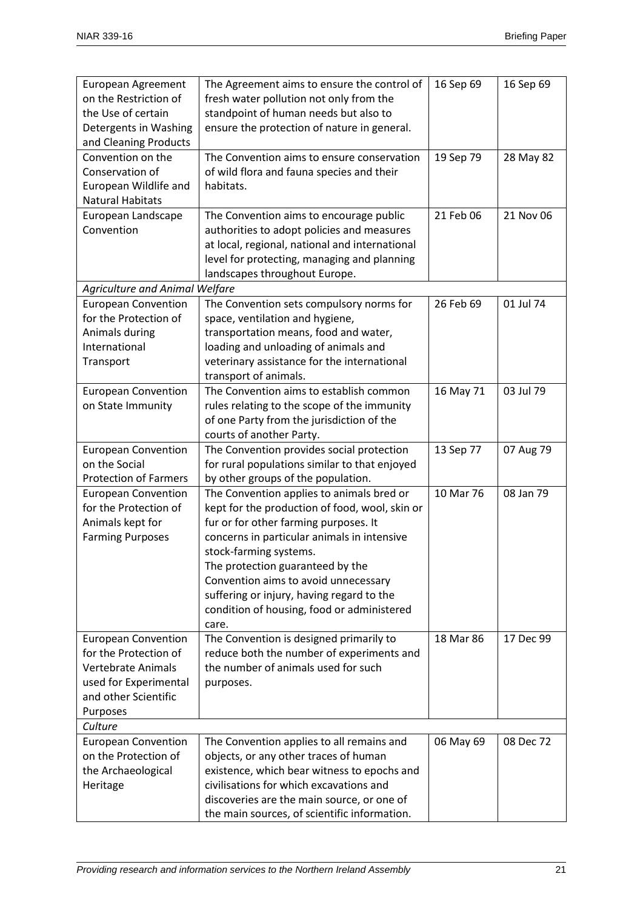| European Agreement                                 | The Agreement aims to ensure the control of                                         | 16 Sep 69 | 16 Sep 69 |
|----------------------------------------------------|-------------------------------------------------------------------------------------|-----------|-----------|
| on the Restriction of                              | fresh water pollution not only from the                                             |           |           |
| the Use of certain                                 | standpoint of human needs but also to                                               |           |           |
| Detergents in Washing                              | ensure the protection of nature in general.                                         |           |           |
| and Cleaning Products<br>Convention on the         | The Convention aims to ensure conservation                                          |           |           |
| Conservation of                                    | of wild flora and fauna species and their                                           | 19 Sep 79 | 28 May 82 |
| European Wildlife and                              | habitats.                                                                           |           |           |
| <b>Natural Habitats</b>                            |                                                                                     |           |           |
| European Landscape                                 | The Convention aims to encourage public                                             | 21 Feb 06 | 21 Nov 06 |
| Convention                                         | authorities to adopt policies and measures                                          |           |           |
|                                                    | at local, regional, national and international                                      |           |           |
|                                                    | level for protecting, managing and planning                                         |           |           |
|                                                    | landscapes throughout Europe.                                                       |           |           |
| <b>Agriculture and Animal Welfare</b>              |                                                                                     |           |           |
| <b>European Convention</b>                         | The Convention sets compulsory norms for                                            | 26 Feb 69 | 01 Jul 74 |
| for the Protection of                              | space, ventilation and hygiene,                                                     |           |           |
| Animals during                                     | transportation means, food and water,                                               |           |           |
| International                                      | loading and unloading of animals and                                                |           |           |
| Transport                                          | veterinary assistance for the international                                         |           |           |
|                                                    | transport of animals.                                                               |           |           |
| <b>European Convention</b>                         | The Convention aims to establish common                                             | 16 May 71 | 03 Jul 79 |
| on State Immunity                                  | rules relating to the scope of the immunity                                         |           |           |
|                                                    | of one Party from the jurisdiction of the                                           |           |           |
|                                                    | courts of another Party.                                                            |           |           |
| <b>European Convention</b><br>on the Social        | The Convention provides social protection                                           | 13 Sep 77 | 07 Aug 79 |
| <b>Protection of Farmers</b>                       | for rural populations similar to that enjoyed<br>by other groups of the population. |           |           |
| <b>European Convention</b>                         | The Convention applies to animals bred or                                           | 10 Mar 76 | 08 Jan 79 |
| for the Protection of                              | kept for the production of food, wool, skin or                                      |           |           |
| Animals kept for                                   | fur or for other farming purposes. It                                               |           |           |
| <b>Farming Purposes</b>                            | concerns in particular animals in intensive                                         |           |           |
|                                                    | stock-farming systems.                                                              |           |           |
|                                                    | The protection guaranteed by the                                                    |           |           |
|                                                    | Convention aims to avoid unnecessary                                                |           |           |
|                                                    | suffering or injury, having regard to the                                           |           |           |
|                                                    | condition of housing, food or administered                                          |           |           |
|                                                    | care.                                                                               |           |           |
| <b>European Convention</b>                         | The Convention is designed primarily to                                             | 18 Mar 86 | 17 Dec 99 |
| for the Protection of                              | reduce both the number of experiments and                                           |           |           |
| <b>Vertebrate Animals</b>                          | the number of animals used for such                                                 |           |           |
| used for Experimental                              | purposes.                                                                           |           |           |
| and other Scientific                               |                                                                                     |           |           |
| Purposes                                           |                                                                                     |           |           |
| Culture                                            |                                                                                     |           |           |
| <b>European Convention</b><br>on the Protection of | The Convention applies to all remains and<br>objects, or any other traces of human  | 06 May 69 | 08 Dec 72 |
| the Archaeological                                 | existence, which bear witness to epochs and                                         |           |           |
| Heritage                                           | civilisations for which excavations and                                             |           |           |
|                                                    | discoveries are the main source, or one of                                          |           |           |
|                                                    | the main sources, of scientific information.                                        |           |           |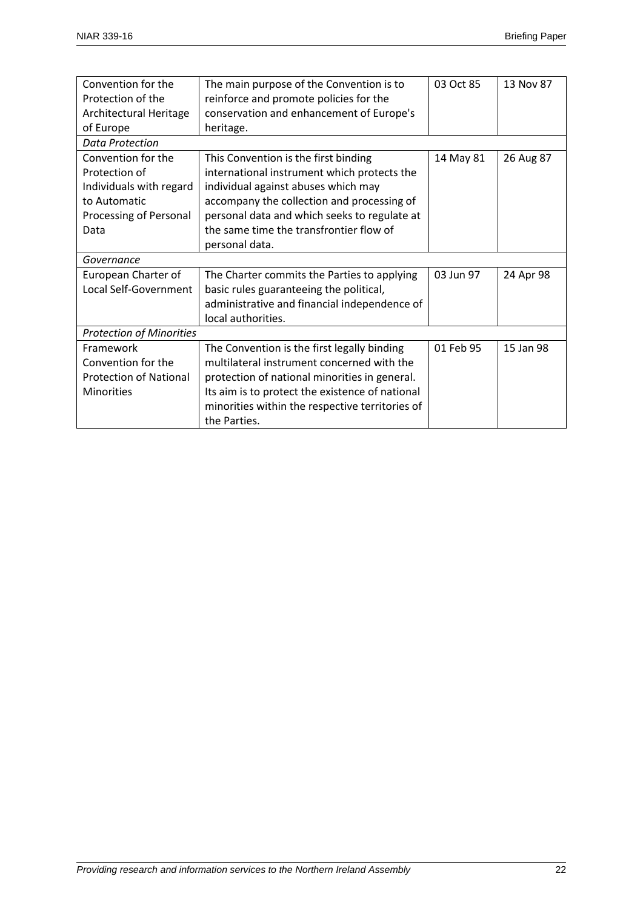| Convention for the              | The main purpose of the Convention is to        | 03 Oct 85 | 13 Nov 87 |
|---------------------------------|-------------------------------------------------|-----------|-----------|
| Protection of the               | reinforce and promote policies for the          |           |           |
| Architectural Heritage          | conservation and enhancement of Europe's        |           |           |
| of Europe                       | heritage.                                       |           |           |
| Data Protection                 |                                                 |           |           |
| Convention for the              | This Convention is the first binding            | 14 May 81 | 26 Aug 87 |
| Protection of                   | international instrument which protects the     |           |           |
| Individuals with regard         | individual against abuses which may             |           |           |
| to Automatic                    | accompany the collection and processing of      |           |           |
| Processing of Personal          | personal data and which seeks to regulate at    |           |           |
| Data                            | the same time the transfrontier flow of         |           |           |
|                                 | personal data.                                  |           |           |
| Governance                      |                                                 |           |           |
| European Charter of             | The Charter commits the Parties to applying     | 03 Jun 97 | 24 Apr 98 |
| Local Self-Government           | basic rules guaranteeing the political,         |           |           |
|                                 | administrative and financial independence of    |           |           |
|                                 | local authorities.                              |           |           |
| <b>Protection of Minorities</b> |                                                 |           |           |
| Framework                       | The Convention is the first legally binding     | 01 Feb 95 | 15 Jan 98 |
| Convention for the              | multilateral instrument concerned with the      |           |           |
| <b>Protection of National</b>   | protection of national minorities in general.   |           |           |
| <b>Minorities</b>               | Its aim is to protect the existence of national |           |           |
|                                 | minorities within the respective territories of |           |           |
|                                 | the Parties.                                    |           |           |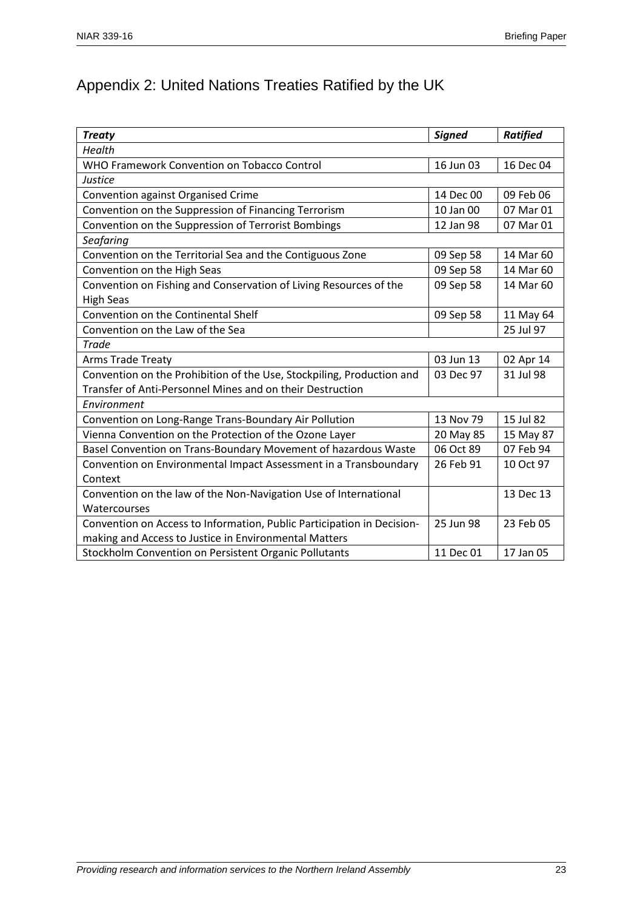## Appendix 2: United Nations Treaties Ratified by the UK

| <b>Treaty</b>                                                          | <b>Signed</b> | <b>Ratified</b> |
|------------------------------------------------------------------------|---------------|-----------------|
| Health                                                                 |               |                 |
| WHO Framework Convention on Tobacco Control                            | 16 Jun 03     | 16 Dec 04       |
| Justice                                                                |               |                 |
| Convention against Organised Crime                                     | 14 Dec 00     | 09 Feb 06       |
| Convention on the Suppression of Financing Terrorism                   | 10 Jan 00     | 07 Mar 01       |
| Convention on the Suppression of Terrorist Bombings                    | 12 Jan 98     | 07 Mar 01       |
| Seafaring                                                              |               |                 |
| Convention on the Territorial Sea and the Contiguous Zone              | 09 Sep 58     | 14 Mar 60       |
| Convention on the High Seas                                            | 09 Sep 58     | 14 Mar 60       |
| Convention on Fishing and Conservation of Living Resources of the      | 09 Sep 58     | 14 Mar 60       |
| <b>High Seas</b>                                                       |               |                 |
| Convention on the Continental Shelf                                    | 09 Sep 58     | 11 May 64       |
| Convention on the Law of the Sea                                       |               | 25 Jul 97       |
| Trade                                                                  |               |                 |
| <b>Arms Trade Treaty</b>                                               | 03 Jun 13     | 02 Apr 14       |
| Convention on the Prohibition of the Use, Stockpiling, Production and  | 03 Dec 97     | 31 Jul 98       |
| Transfer of Anti-Personnel Mines and on their Destruction              |               |                 |
| Environment                                                            |               |                 |
| Convention on Long-Range Trans-Boundary Air Pollution                  | 13 Nov 79     | 15 Jul 82       |
| Vienna Convention on the Protection of the Ozone Layer                 | 20 May 85     | 15 May 87       |
| Basel Convention on Trans-Boundary Movement of hazardous Waste         | 06 Oct 89     | 07 Feb 94       |
| Convention on Environmental Impact Assessment in a Transboundary       | 26 Feb 91     | 10 Oct 97       |
| Context                                                                |               |                 |
| Convention on the law of the Non-Navigation Use of International       |               | 13 Dec 13       |
| Watercourses                                                           |               |                 |
| Convention on Access to Information, Public Participation in Decision- | 25 Jun 98     | 23 Feb 05       |
| making and Access to Justice in Environmental Matters                  |               |                 |
| Stockholm Convention on Persistent Organic Pollutants                  | 11 Dec 01     | 17 Jan 05       |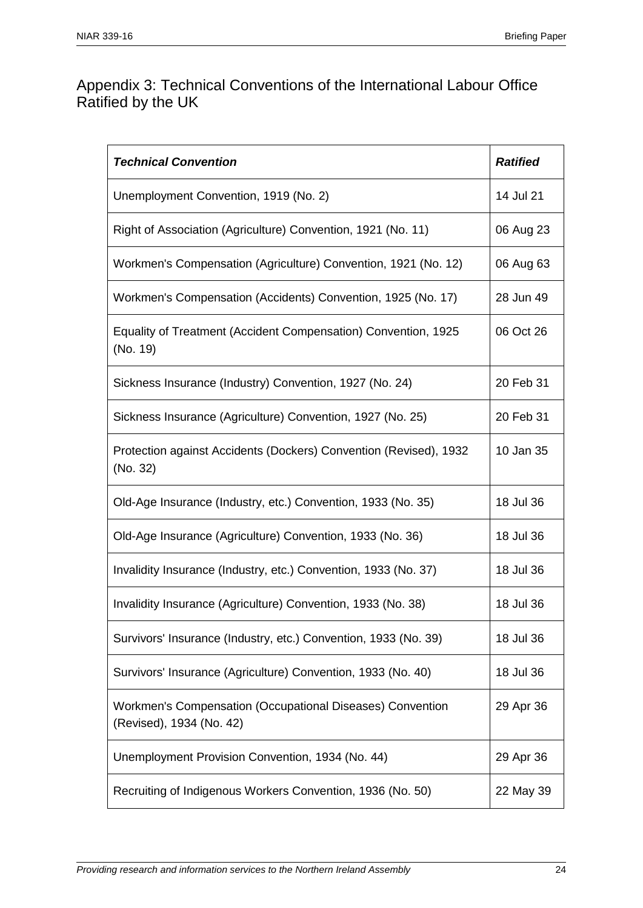#### Appendix 3: Technical Conventions of the International Labour Office Ratified by the UK

| <b>Technical Convention</b>                                                           | <b>Ratified</b> |
|---------------------------------------------------------------------------------------|-----------------|
| Unemployment Convention, 1919 (No. 2)                                                 | 14 Jul 21       |
| Right of Association (Agriculture) Convention, 1921 (No. 11)                          | 06 Aug 23       |
| Workmen's Compensation (Agriculture) Convention, 1921 (No. 12)                        | 06 Aug 63       |
| Workmen's Compensation (Accidents) Convention, 1925 (No. 17)                          | 28 Jun 49       |
| Equality of Treatment (Accident Compensation) Convention, 1925<br>(No. 19)            | 06 Oct 26       |
| Sickness Insurance (Industry) Convention, 1927 (No. 24)                               | 20 Feb 31       |
| Sickness Insurance (Agriculture) Convention, 1927 (No. 25)                            | 20 Feb 31       |
| Protection against Accidents (Dockers) Convention (Revised), 1932<br>(No. 32)         | 10 Jan 35       |
| Old-Age Insurance (Industry, etc.) Convention, 1933 (No. 35)                          | 18 Jul 36       |
| Old-Age Insurance (Agriculture) Convention, 1933 (No. 36)                             | 18 Jul 36       |
| Invalidity Insurance (Industry, etc.) Convention, 1933 (No. 37)                       | 18 Jul 36       |
| Invalidity Insurance (Agriculture) Convention, 1933 (No. 38)                          | 18 Jul 36       |
| Survivors' Insurance (Industry, etc.) Convention, 1933 (No. 39)                       | 18 Jul 36       |
| Survivors' Insurance (Agriculture) Convention, 1933 (No. 40)                          | 18 Jul 36       |
| Workmen's Compensation (Occupational Diseases) Convention<br>(Revised), 1934 (No. 42) | 29 Apr 36       |
| Unemployment Provision Convention, 1934 (No. 44)                                      | 29 Apr 36       |
| Recruiting of Indigenous Workers Convention, 1936 (No. 50)                            | 22 May 39       |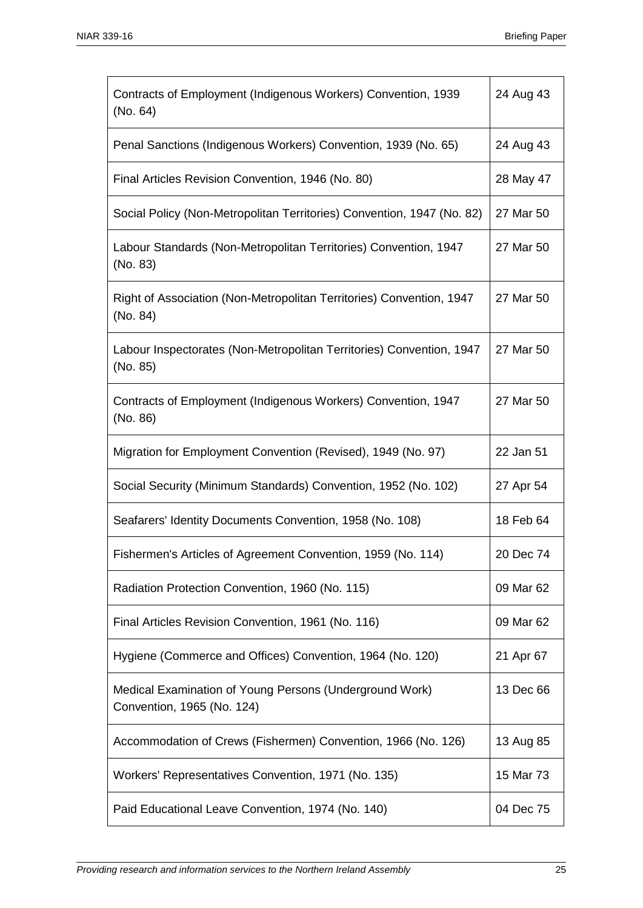| Contracts of Employment (Indigenous Workers) Convention, 1939<br>(No. 64)             | 24 Aug 43 |
|---------------------------------------------------------------------------------------|-----------|
| Penal Sanctions (Indigenous Workers) Convention, 1939 (No. 65)                        | 24 Aug 43 |
| Final Articles Revision Convention, 1946 (No. 80)                                     | 28 May 47 |
| Social Policy (Non-Metropolitan Territories) Convention, 1947 (No. 82)                | 27 Mar 50 |
| Labour Standards (Non-Metropolitan Territories) Convention, 1947<br>(No. 83)          | 27 Mar 50 |
| Right of Association (Non-Metropolitan Territories) Convention, 1947<br>(No. 84)      | 27 Mar 50 |
| Labour Inspectorates (Non-Metropolitan Territories) Convention, 1947<br>(No. 85)      | 27 Mar 50 |
| Contracts of Employment (Indigenous Workers) Convention, 1947<br>(No. 86)             | 27 Mar 50 |
| Migration for Employment Convention (Revised), 1949 (No. 97)                          | 22 Jan 51 |
| Social Security (Minimum Standards) Convention, 1952 (No. 102)                        | 27 Apr 54 |
| Seafarers' Identity Documents Convention, 1958 (No. 108)                              | 18 Feb 64 |
| Fishermen's Articles of Agreement Convention, 1959 (No. 114)                          | 20 Dec 74 |
| Radiation Protection Convention, 1960 (No. 115)                                       | 09 Mar 62 |
| Final Articles Revision Convention, 1961 (No. 116)                                    | 09 Mar 62 |
| Hygiene (Commerce and Offices) Convention, 1964 (No. 120)                             | 21 Apr 67 |
| Medical Examination of Young Persons (Underground Work)<br>Convention, 1965 (No. 124) | 13 Dec 66 |
| Accommodation of Crews (Fishermen) Convention, 1966 (No. 126)                         | 13 Aug 85 |
| Workers' Representatives Convention, 1971 (No. 135)                                   | 15 Mar 73 |
| Paid Educational Leave Convention, 1974 (No. 140)                                     | 04 Dec 75 |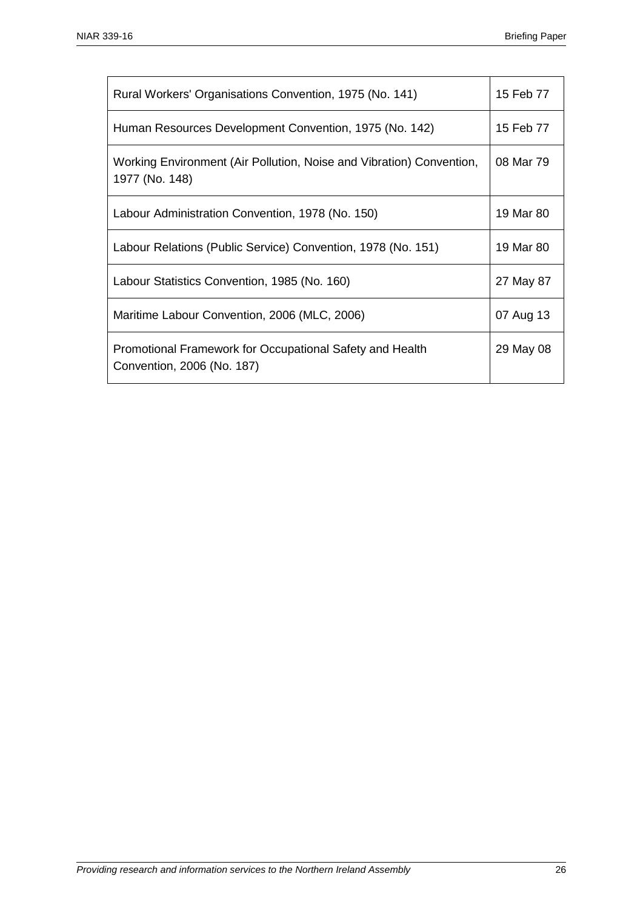| Rural Workers' Organisations Convention, 1975 (No. 141)                                | 15 Feb 77 |
|----------------------------------------------------------------------------------------|-----------|
| Human Resources Development Convention, 1975 (No. 142)                                 | 15 Feb 77 |
| Working Environment (Air Pollution, Noise and Vibration) Convention,<br>1977 (No. 148) | 08 Mar 79 |
| Labour Administration Convention, 1978 (No. 150)                                       | 19 Mar 80 |
| Labour Relations (Public Service) Convention, 1978 (No. 151)                           | 19 Mar 80 |
| Labour Statistics Convention, 1985 (No. 160)                                           | 27 May 87 |
| Maritime Labour Convention, 2006 (MLC, 2006)                                           | 07 Aug 13 |
| Promotional Framework for Occupational Safety and Health<br>Convention, 2006 (No. 187) | 29 May 08 |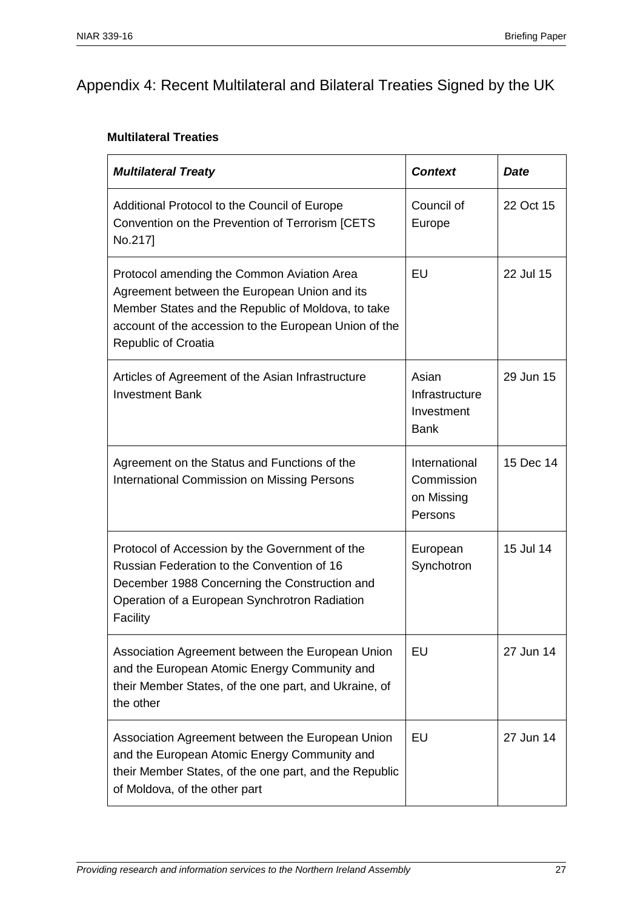## Appendix 4: Recent Multilateral and Bilateral Treaties Signed by the UK

#### **Multilateral Treaties**

| <b>Multilateral Treaty</b>                                                                                                                                                                                                              | <b>Context</b>                                       | <b>Date</b> |
|-----------------------------------------------------------------------------------------------------------------------------------------------------------------------------------------------------------------------------------------|------------------------------------------------------|-------------|
| Additional Protocol to the Council of Europe<br>Convention on the Prevention of Terrorism [CETS<br>No.217]                                                                                                                              | Council of<br>Europe                                 | 22 Oct 15   |
| Protocol amending the Common Aviation Area<br>Agreement between the European Union and its<br>Member States and the Republic of Moldova, to take<br>account of the accession to the European Union of the<br><b>Republic of Croatia</b> | EU                                                   | 22 Jul 15   |
| Articles of Agreement of the Asian Infrastructure<br><b>Investment Bank</b>                                                                                                                                                             | Asian<br>Infrastructure<br>Investment<br><b>Bank</b> | 29 Jun 15   |
| Agreement on the Status and Functions of the<br><b>International Commission on Missing Persons</b>                                                                                                                                      | International<br>Commission<br>on Missing<br>Persons | 15 Dec 14   |
| Protocol of Accession by the Government of the<br>Russian Federation to the Convention of 16<br>December 1988 Concerning the Construction and<br>Operation of a European Synchrotron Radiation<br>Facility                              | European<br>Synchotron                               | 15 Jul 14   |
| Association Agreement between the European Union<br>and the European Atomic Energy Community and<br>their Member States, of the one part, and Ukraine, of<br>the other                                                                  | EU                                                   | 27 Jun 14   |
| Association Agreement between the European Union<br>and the European Atomic Energy Community and<br>their Member States, of the one part, and the Republic<br>of Moldova, of the other part                                             | EU                                                   | 27 Jun 14   |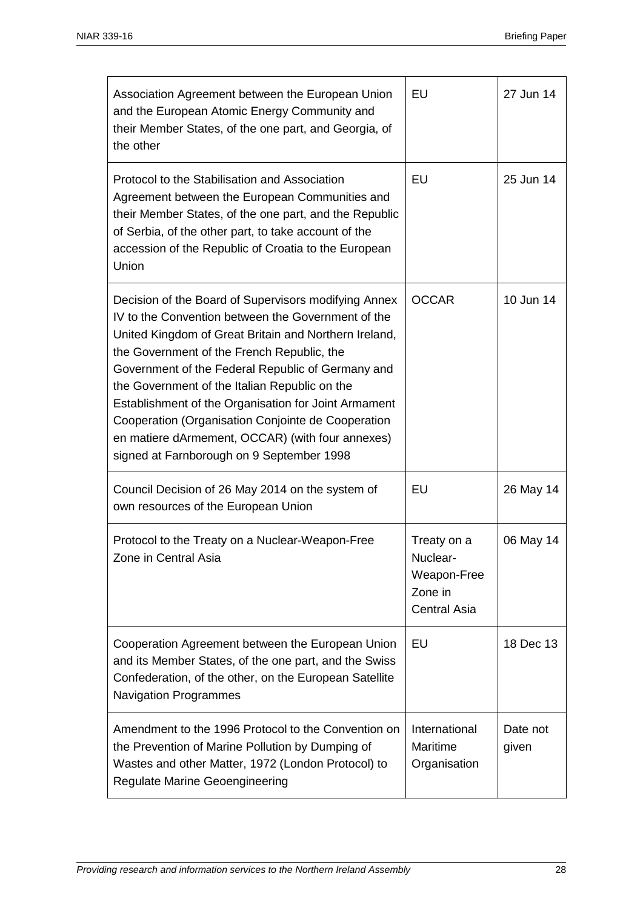| Association Agreement between the European Union<br>and the European Atomic Energy Community and<br>their Member States, of the one part, and Georgia, of<br>the other                                                                                                                                                                                                                                                                                                                                                                 | EU                                                                       | 27 Jun 14         |
|----------------------------------------------------------------------------------------------------------------------------------------------------------------------------------------------------------------------------------------------------------------------------------------------------------------------------------------------------------------------------------------------------------------------------------------------------------------------------------------------------------------------------------------|--------------------------------------------------------------------------|-------------------|
| Protocol to the Stabilisation and Association<br>Agreement between the European Communities and<br>their Member States, of the one part, and the Republic<br>of Serbia, of the other part, to take account of the<br>accession of the Republic of Croatia to the European<br>Union                                                                                                                                                                                                                                                     | EU                                                                       | 25 Jun 14         |
| Decision of the Board of Supervisors modifying Annex<br>IV to the Convention between the Government of the<br>United Kingdom of Great Britain and Northern Ireland,<br>the Government of the French Republic, the<br>Government of the Federal Republic of Germany and<br>the Government of the Italian Republic on the<br>Establishment of the Organisation for Joint Armament<br>Cooperation (Organisation Conjointe de Cooperation<br>en matiere dArmement, OCCAR) (with four annexes)<br>signed at Farnborough on 9 September 1998 | <b>OCCAR</b>                                                             | 10 Jun 14         |
| Council Decision of 26 May 2014 on the system of<br>own resources of the European Union                                                                                                                                                                                                                                                                                                                                                                                                                                                | EU                                                                       | 26 May 14         |
| Protocol to the Treaty on a Nuclear-Weapon-Free<br>Zone in Central Asia                                                                                                                                                                                                                                                                                                                                                                                                                                                                | Treaty on a<br>Nuclear-<br>Weapon-Free<br>Zone in<br><b>Central Asia</b> | 06 May 14         |
| Cooperation Agreement between the European Union<br>and its Member States, of the one part, and the Swiss<br>Confederation, of the other, on the European Satellite<br><b>Navigation Programmes</b>                                                                                                                                                                                                                                                                                                                                    | EU                                                                       | 18 Dec 13         |
| Amendment to the 1996 Protocol to the Convention on<br>the Prevention of Marine Pollution by Dumping of<br>Wastes and other Matter, 1972 (London Protocol) to<br><b>Regulate Marine Geoengineering</b>                                                                                                                                                                                                                                                                                                                                 | International<br>Maritime<br>Organisation                                | Date not<br>given |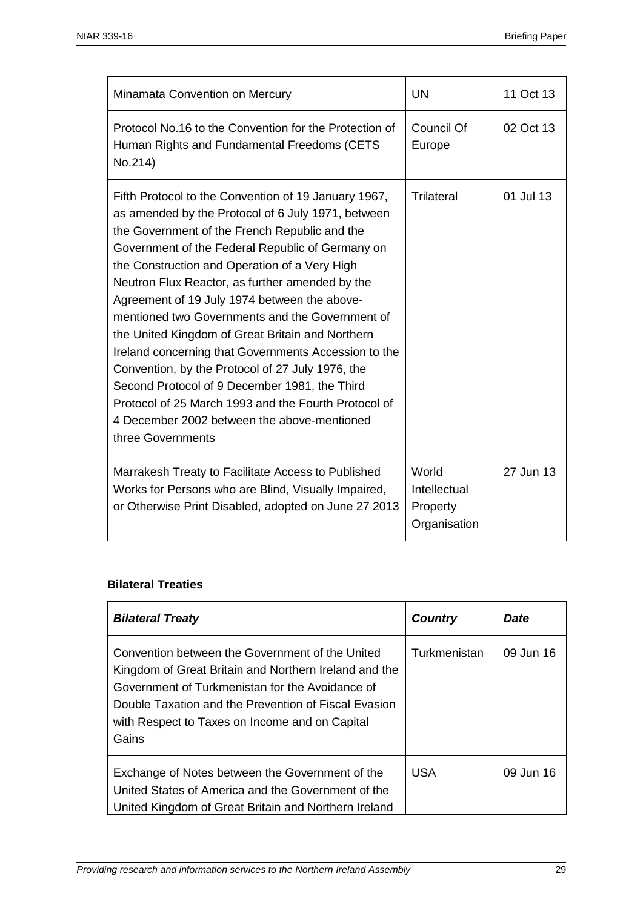| Minamata Convention on Mercury                                                                                                                                                                                                                                                                                                                                                                                                                                                                                                                                                                                                                                                                                                                                      | <b>UN</b>                                         | 11 Oct 13 |
|---------------------------------------------------------------------------------------------------------------------------------------------------------------------------------------------------------------------------------------------------------------------------------------------------------------------------------------------------------------------------------------------------------------------------------------------------------------------------------------------------------------------------------------------------------------------------------------------------------------------------------------------------------------------------------------------------------------------------------------------------------------------|---------------------------------------------------|-----------|
| Protocol No.16 to the Convention for the Protection of<br>Human Rights and Fundamental Freedoms (CETS<br>No.214)                                                                                                                                                                                                                                                                                                                                                                                                                                                                                                                                                                                                                                                    | <b>Council Of</b><br>Europe                       | 02 Oct 13 |
| Fifth Protocol to the Convention of 19 January 1967,<br>as amended by the Protocol of 6 July 1971, between<br>the Government of the French Republic and the<br>Government of the Federal Republic of Germany on<br>the Construction and Operation of a Very High<br>Neutron Flux Reactor, as further amended by the<br>Agreement of 19 July 1974 between the above-<br>mentioned two Governments and the Government of<br>the United Kingdom of Great Britain and Northern<br>Ireland concerning that Governments Accession to the<br>Convention, by the Protocol of 27 July 1976, the<br>Second Protocol of 9 December 1981, the Third<br>Protocol of 25 March 1993 and the Fourth Protocol of<br>4 December 2002 between the above-mentioned<br>three Governments | <b>Trilateral</b>                                 | 01 Jul 13 |
| Marrakesh Treaty to Facilitate Access to Published<br>Works for Persons who are Blind, Visually Impaired,<br>or Otherwise Print Disabled, adopted on June 27 2013                                                                                                                                                                                                                                                                                                                                                                                                                                                                                                                                                                                                   | World<br>Intellectual<br>Property<br>Organisation | 27 Jun 13 |

#### **Bilateral Treaties**

| <b>Bilateral Treaty</b>                                                                                                                                                                                                                                                        | <b>Country</b> | Date      |
|--------------------------------------------------------------------------------------------------------------------------------------------------------------------------------------------------------------------------------------------------------------------------------|----------------|-----------|
| Convention between the Government of the United<br>Kingdom of Great Britain and Northern Ireland and the<br>Government of Turkmenistan for the Avoidance of<br>Double Taxation and the Prevention of Fiscal Evasion<br>with Respect to Taxes on Income and on Capital<br>Gains | Turkmenistan   | 09 Jun 16 |
| Exchange of Notes between the Government of the<br>United States of America and the Government of the<br>United Kingdom of Great Britain and Northern Ireland                                                                                                                  | <b>USA</b>     | 09 Jun 16 |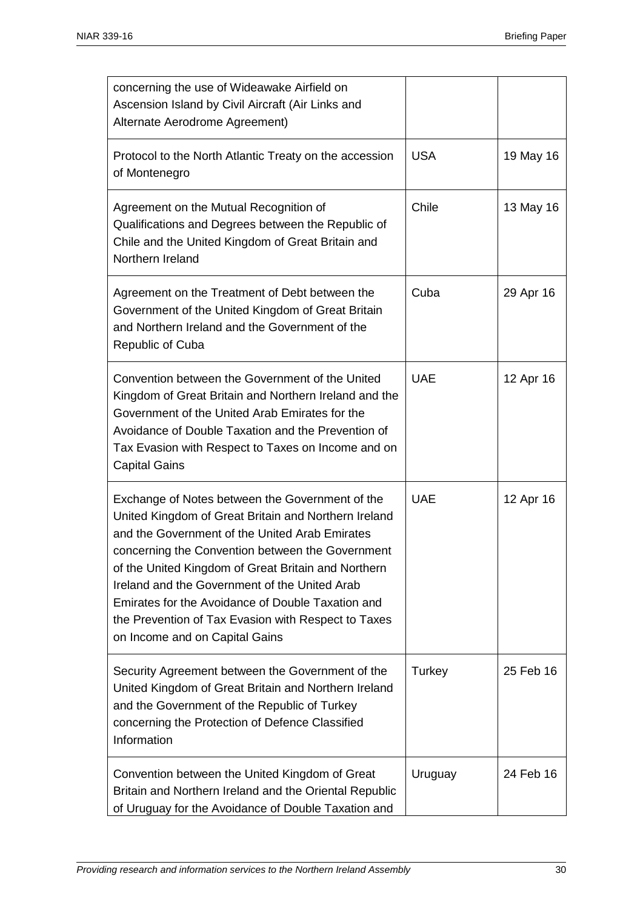| concerning the use of Wideawake Airfield on<br>Ascension Island by Civil Aircraft (Air Links and<br>Alternate Aerodrome Agreement)                                                                                                                                                                                                                                                                                                                                  |            |           |
|---------------------------------------------------------------------------------------------------------------------------------------------------------------------------------------------------------------------------------------------------------------------------------------------------------------------------------------------------------------------------------------------------------------------------------------------------------------------|------------|-----------|
| Protocol to the North Atlantic Treaty on the accession<br>of Montenegro                                                                                                                                                                                                                                                                                                                                                                                             | <b>USA</b> | 19 May 16 |
| Agreement on the Mutual Recognition of<br>Qualifications and Degrees between the Republic of<br>Chile and the United Kingdom of Great Britain and<br>Northern Ireland                                                                                                                                                                                                                                                                                               | Chile      | 13 May 16 |
| Agreement on the Treatment of Debt between the<br>Government of the United Kingdom of Great Britain<br>and Northern Ireland and the Government of the<br><b>Republic of Cuba</b>                                                                                                                                                                                                                                                                                    | Cuba       | 29 Apr 16 |
| Convention between the Government of the United<br>Kingdom of Great Britain and Northern Ireland and the<br>Government of the United Arab Emirates for the<br>Avoidance of Double Taxation and the Prevention of<br>Tax Evasion with Respect to Taxes on Income and on<br><b>Capital Gains</b>                                                                                                                                                                      | <b>UAE</b> | 12 Apr 16 |
| Exchange of Notes between the Government of the<br>United Kingdom of Great Britain and Northern Ireland<br>and the Government of the United Arab Emirates<br>concerning the Convention between the Government<br>of the United Kingdom of Great Britain and Northern<br>Ireland and the Government of the United Arab<br>Emirates for the Avoidance of Double Taxation and<br>the Prevention of Tax Evasion with Respect to Taxes<br>on Income and on Capital Gains | <b>UAE</b> | 12 Apr 16 |
| Security Agreement between the Government of the<br>United Kingdom of Great Britain and Northern Ireland<br>and the Government of the Republic of Turkey<br>concerning the Protection of Defence Classified<br>Information                                                                                                                                                                                                                                          | Turkey     | 25 Feb 16 |
| Convention between the United Kingdom of Great<br>Britain and Northern Ireland and the Oriental Republic<br>of Uruguay for the Avoidance of Double Taxation and                                                                                                                                                                                                                                                                                                     | Uruguay    | 24 Feb 16 |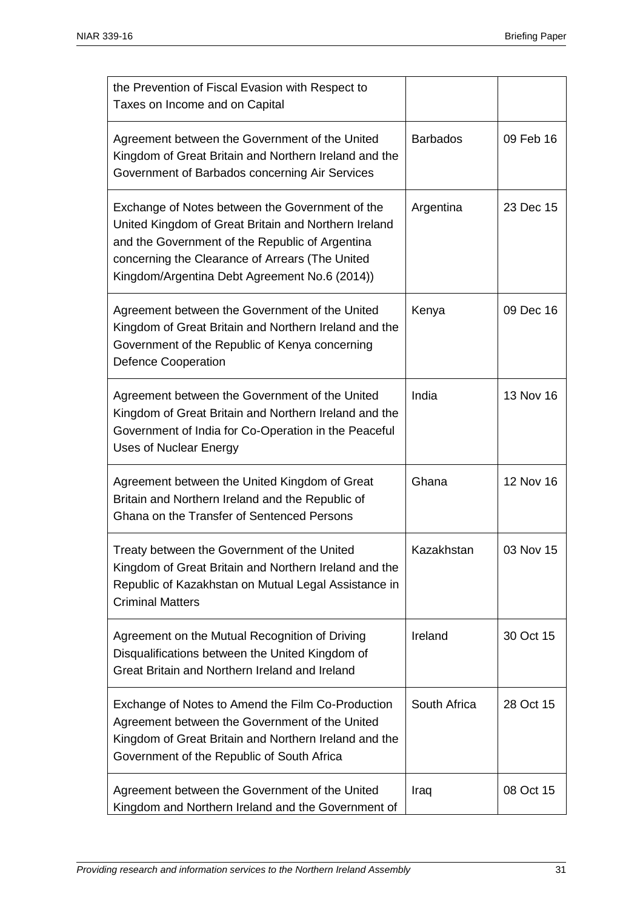| the Prevention of Fiscal Evasion with Respect to<br>Taxes on Income and on Capital                                                                                                                                                                             |                 |           |
|----------------------------------------------------------------------------------------------------------------------------------------------------------------------------------------------------------------------------------------------------------------|-----------------|-----------|
| Agreement between the Government of the United<br>Kingdom of Great Britain and Northern Ireland and the<br>Government of Barbados concerning Air Services                                                                                                      | <b>Barbados</b> | 09 Feb 16 |
| Exchange of Notes between the Government of the<br>United Kingdom of Great Britain and Northern Ireland<br>and the Government of the Republic of Argentina<br>concerning the Clearance of Arrears (The United<br>Kingdom/Argentina Debt Agreement No.6 (2014)) | Argentina       | 23 Dec 15 |
| Agreement between the Government of the United<br>Kingdom of Great Britain and Northern Ireland and the<br>Government of the Republic of Kenya concerning<br><b>Defence Cooperation</b>                                                                        | Kenya           | 09 Dec 16 |
| Agreement between the Government of the United<br>Kingdom of Great Britain and Northern Ireland and the<br>Government of India for Co-Operation in the Peaceful<br><b>Uses of Nuclear Energy</b>                                                               | India           | 13 Nov 16 |
| Agreement between the United Kingdom of Great<br>Britain and Northern Ireland and the Republic of<br>Ghana on the Transfer of Sentenced Persons                                                                                                                | Ghana           | 12 Nov 16 |
| Treaty between the Government of the United<br>Kingdom of Great Britain and Northern Ireland and the<br>Republic of Kazakhstan on Mutual Legal Assistance in<br><b>Criminal Matters</b>                                                                        | Kazakhstan      | 03 Nov 15 |
| Agreement on the Mutual Recognition of Driving<br>Disqualifications between the United Kingdom of<br>Great Britain and Northern Ireland and Ireland                                                                                                            | Ireland         | 30 Oct 15 |
| Exchange of Notes to Amend the Film Co-Production<br>Agreement between the Government of the United<br>Kingdom of Great Britain and Northern Ireland and the<br>Government of the Republic of South Africa                                                     | South Africa    | 28 Oct 15 |
| Agreement between the Government of the United<br>Kingdom and Northern Ireland and the Government of                                                                                                                                                           | Iraq            | 08 Oct 15 |